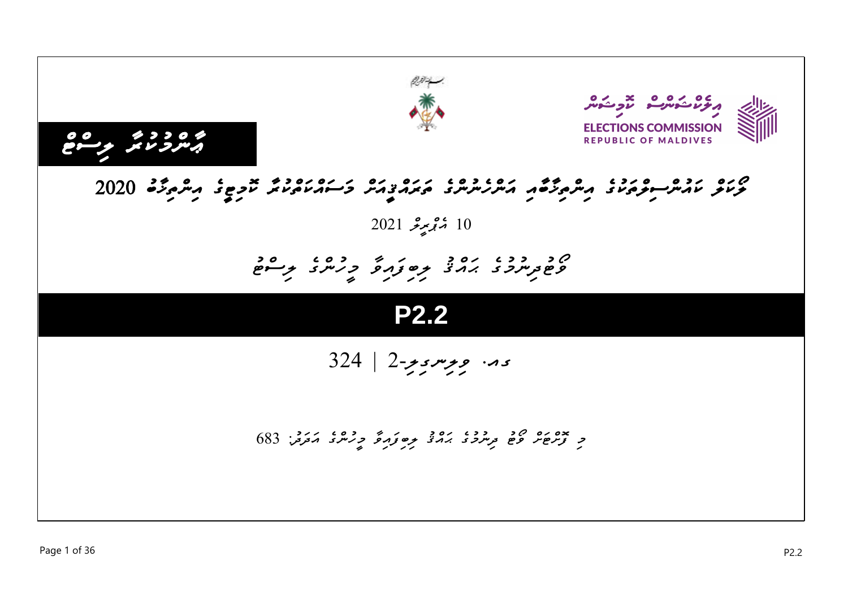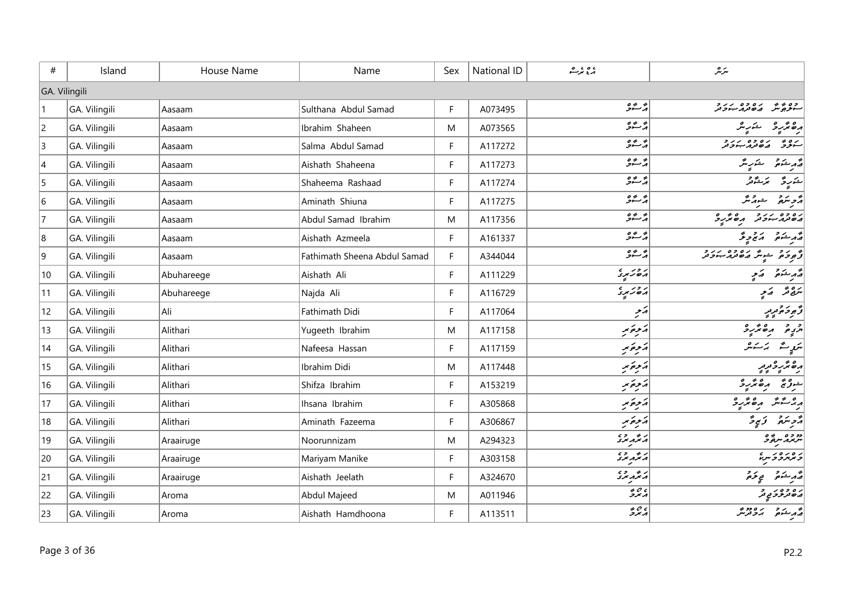| #              | Island        | House Name | Name                         | Sex         | National ID | ، ه ، بر <u>م</u>         | ىئرىتر                                                   |
|----------------|---------------|------------|------------------------------|-------------|-------------|---------------------------|----------------------------------------------------------|
| GA. Vilingili  |               |            |                              |             |             |                           |                                                          |
| 1              | GA. Vilingili | Aasaam     | Sulthana Abdul Samad         | F           | A073495     | ېژ شه ه                   | ره وه بر ر د<br>پره تر پر ښو تر<br>ر وه و پ <sub>ر</sub> |
| $\overline{2}$ | GA. Vilingili | Aasaam     | Ibrahim Shaheen              | M           | A073565     | ېژ شه ه                   | ەر ھەترىر <i>3</i>                                       |
| 3              | GA. Vilingili | Aasaam     | Salma Abdul Samad            | F           | A117272     | ۇ شەھ                     | ره ده ده ده در د<br>سنور در در سورتر                     |
| 4              | GA. Vilingili | Aasaam     | Aishath Shaheena             | $\mathsf F$ | A117273     | ېژ شرچ                    | ۇرمۇق مۇرىگر                                             |
| 5              | GA. Vilingili | Aasaam     | Shaheema Rashaad             | F           | A117274     | ۇ شەھ                     | لمكركز المركبور                                          |
| 6              | GA. Vilingili | Aasaam     | Aminath Shiuna               | $\mathsf F$ | A117275     | ۇ شەھ                     | ړ د سره شور شو                                           |
| 7              | GA. Vilingili | Aasaam     | Abdul Samad Ibrahim          | M           | A117356     | ۇ شۇ ە                    | נס כם גנבר סיבים                                         |
| 8              | GA. Vilingili | Aasaam     | Aishath Azmeela              | F           | A161337     | ۇ شەھ                     | وأرشكم وكالمحاج ومحر                                     |
| 9              | GA. Vilingili | Aasaam     | Fathimath Sheena Abdul Samad | $\mathsf F$ | A344044     | ۇ شەھ                     | ري د د ده ده ده د د د د د د د د                          |
| $ 10\rangle$   | GA. Vilingili | Abuhareege | Aishath Ali                  | $\mathsf F$ | A111229     | بر ور<br>مەھ ئەمبرى       | ړې شوه کړې                                               |
| 11             | GA. Vilingili | Abuhareege | Najda Ali                    | F           | A116729     | ر در<br>مەھ ئە بىرى       | يتفقر المتج                                              |
| 12             | GA. Vilingili | Ali        | Fathimath Didi               | F           | A117064     | مزمز                      | و<br>توجو <i>ح</i> کومی                                  |
| $ 13\rangle$   | GA. Vilingili | Alithari   | Yugeeth Ibrahim              | M           | A117158     | وكمعرضو                   | ר ר משתני                                                |
| 14             | GA. Vilingili | Alithari   | Nafeesa Hassan               | F           | A117159     | وكمعرضو                   | لتروٍے الاسکار                                           |
| 15             | GA. Vilingili | Alithari   | Ibrahim Didi                 | M           | A117448     | وكمعرضمة                  | ەر ھەتئەر 2 دىرىر<br>ر                                   |
| 16             | GA. Vilingili | Alithari   | Shifza Ibrahim               | $\mathsf F$ | A153219     | وكمعرضو                   | برە ئۆرۈ<br>المشوقونج<br>ب                               |
| 17             | GA. Vilingili | Alithari   | Ihsana Ibrahim               | F           | A305868     | وكمتوهومبر                | ىر بۇ ئەمە<br>بە<br>ى <i>ر ھىتر پ</i> ەر                 |
| 18             | GA. Vilingili | Alithari   | Aminath Fazeema              | F.          | A306867     | وأحرهوسر                  | و څخه سره<br>ترنبي وَّ                                   |
| 19             | GA. Vilingili | Araairuge  | Noorunnizam                  | M           | A294323     | ر پڑ <sub>و</sub> پر د    | دد و ه<br>سربر پر سربو و                                 |
| 20             | GA. Vilingili | Araairuge  | Mariyam Manike               | F           | A303158     | أرشمه بردي                | ر ه ر ه ر<br>د بر رو د سربا                              |
| 21             | GA. Vilingili | Araairuge  | Aishath Jeelath              | F           | A324670     | بر شهر بر د<br>مرتمبر برد | وكرمشكم ويخبر                                            |
| 22             | GA. Vilingili | Aroma      | Abdul Majeed                 | M           | A011946     | ی می بر<br>در برگ         | ر ه وه ر<br>د ځانرو د په تر                              |
| 23             | GA. Vilingili | Aroma      | Aishath Hamdhoona            | F           | A113511     | ی می بر<br>پر بوری        | م ديدة من دوروسير<br>مدير من المركز                      |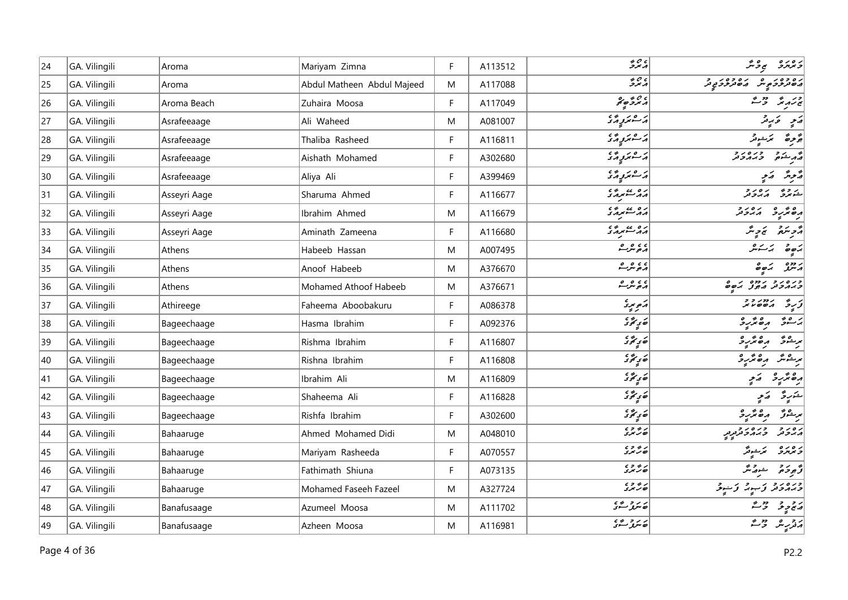| 24 | GA. Vilingili | Aroma        | Mariyam Zimna              | F           | A113512 | ى مى بە<br>مەمىرى                       | دەرە بېۋىگە                                      |
|----|---------------|--------------|----------------------------|-------------|---------|-----------------------------------------|--------------------------------------------------|
| 25 | GA. Vilingili | Aroma        | Abdul Matheen Abdul Majeed | M           | A117088 | ى مى<br>مەنىرى                          | קס כסק ברים הס כסק ברים<br>הסטק כקייק הסטק כביבת |
| 26 | GA. Vilingili | Aroma Beach  | Zuhaira Moosa              | F           | A117049 | 80220                                   | ەزىر ئەرەپىيە<br>ئ                               |
| 27 | GA. Vilingili | Asrafeeaage  | Ali Waheed                 | M           | A081007 | ر صور پوځ<br>مرسمو په                   | د و دره.<br>مو                                   |
| 28 | GA. Vilingili | Asrafeeaage  | Thaliba Rasheed            | F           | A116811 | ىر ھەيجە پە <sup>ي</sup>                |                                                  |
| 29 | GA. Vilingili | Asrafeeaage  | Aishath Mohamed            | $\mathsf F$ | A302680 | ى سىمىئو پ <sup>ە ي</sup>               | ة مشتور 2019 و 2019.<br>مارشتور 2019 و 2019      |
| 30 | GA. Vilingili | Asrafeeaage  | Aliya Ali                  | F           | A399469 | ىز س <sup>ە</sup> ئىرى ئ <sup>ىرى</sup> | أأوار أأولج                                      |
| 31 | GA. Vilingili | Asseyri Aage | Sharuma Ahmed              | F           | A116677 | رە » دەر                                | شەرە بەر دەر                                     |
| 32 | GA. Vilingili | Asseyri Aage | Ibrahim Ahmed              | M           | A116679 | ره مند ده<br>در شور ده                  | ەر ھەترىر <i>ۋ</i><br>پره ر د                    |
| 33 | GA. Vilingili | Asseyri Aage | Aminath Zameena            | $\mathsf F$ | A116680 | بره عديد دي<br>مرکز شور دي              | أأدبتم تمريثر                                    |
| 34 | GA. Vilingili | Athens       | Habeeb Hassan              | M           | A007495 | ې <i>چ</i> هر په                        | $rac{2}{\omega}$<br>برَسَهْر                     |
| 35 | GA. Vilingili | Athens       | Anoof Habeeb               | M           | A376670 | <sup>ى يە</sup> ھەپ                     | $rac{1}{2}$                                      |
| 36 | GA. Vilingili | Athens       | Mohamed Athoof Habeeb      | M           | A376671 | <sup>ی ی</sup> مرگ                      |                                                  |
| 37 | GA. Vilingili | Athireege    | Faheema Aboobakuru         | $\mathsf F$ | A086378 | ړ<br>د حوموړ                            |                                                  |
| 38 | GA. Vilingili | Bageechaage  | Hasma Ibrahim              | F           | A092376 | ر<br>نه پ <sup>ه ن</sup> گون            | برُڪوڻ<br>ەرھەترىر <sup>9</sup>                  |
| 39 | GA. Vilingili | Bageechaage  | Rishma Ibrahim             | F           | A116807 | ر په دي.<br>په نومۍ د                   | ە ھەترىرى<br>مەھەترىپە<br>برشرق                  |
| 40 | GA. Vilingili | Bageechaage  | Rishna Ibrahim             | $\mathsf F$ | A116808 | ر<br>ئەس ئە                             | ە ھېڭرىرى<br>ب<br>ابريثمثر                       |
| 41 | GA. Vilingili | Bageechaage  | Ibrahim Ali                | M           | A116809 | ر په دي.<br>په نړۍ                      | ەر ھەترىر <i>3</i><br>رځ په                      |
| 42 | GA. Vilingili | Bageechaage  | Shaheema Ali               | F           | A116828 | ر دي.<br>ه د گرد                        | ىشەرىچ<br>ئ<br>رځ په                             |
| 43 | GA. Vilingili | Bageechaage  | Rishfa Ibrahim             | F           | A302600 | <br>  ته نړۍ د                          | المرشوقر<br>ם הם הקבר<br>תפידת ב                 |
| 44 | GA. Vilingili | Bahaaruge    | Ahmed Mohamed Didi         | M           | A048010 | ر پر د ،<br>ن <i>ن تر</i> ی             |                                                  |
| 45 | GA. Vilingili | Bahaaruge    | Mariyam Rasheeda           | $\mathsf F$ | A070557 | ر پر و ،<br>ن <i>خ</i> مرد              | رەرە بەيدۇر                                      |
| 46 | GA. Vilingili | Bahaaruge    | Fathimath Shiuna           | E           | A073135 | ر بر و ،<br>ن <i>ن</i> تر د             | و و د د شور شور شر                               |
| 47 | GA. Vilingili | Bahaaruge    | Mohamed Faseeh Fazeel      | M           | A327724 | ر و د د<br>ن <i>ن نر</i> و د            | ورەرو زىبەر زىنبۇ                                |
| 48 | GA. Vilingili | Banafusaage  | Azumeel Moosa              | M           | A111702 | ر رو و و ،<br>ھىئرى شىمى                | ە ئە ئۇ ئەسىگە                                   |
| 49 | GA. Vilingili | Banafusaage  | Azheen Moosa               | M           | A116981 | ر رو دي<br>ھەمىرى شىمى                  | كەنۈر بىر بىر ئالىگە                             |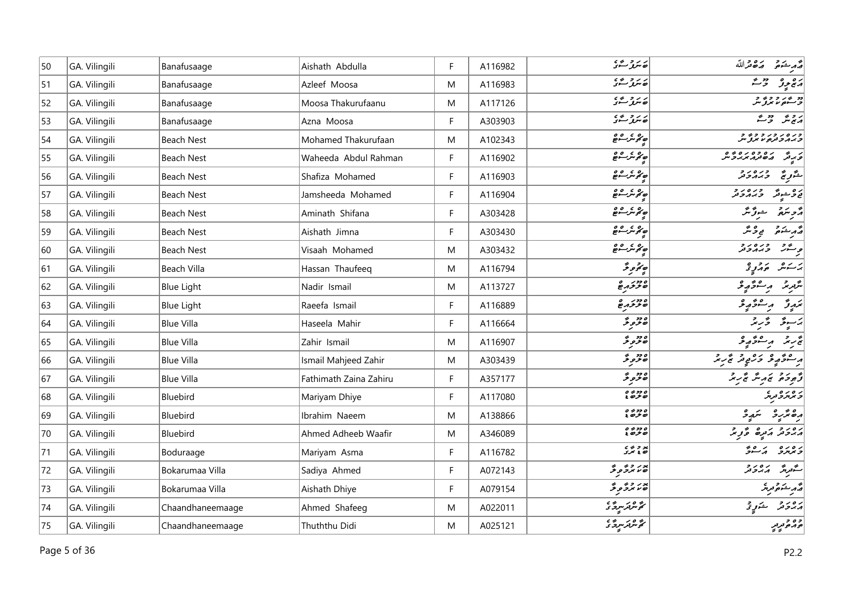| 50 | GA. Vilingili | Banafusaage        | Aishath Abdulla        | F  | A116982 | ە ئەرىپى ئە                                                   | أشهر مشوم ومصاريك                                |
|----|---------------|--------------------|------------------------|----|---------|---------------------------------------------------------------|--------------------------------------------------|
| 51 | GA. Vilingili | Banafusaage        | Azleef Moosa           | M  | A116983 | پر بر دید ،<br>ح <i>امزنی ک</i>                               | أرجع يوقع وحشقه                                  |
| 52 | GA. Vilingili | Banafusaage        | Moosa Thakurufaanu     | M  | A117126 | پر پر دیږي<br>ت <i>ره متر</i> ک                               | دو به ر و و ه و<br>د کشوه برتی متر               |
| 53 | GA. Vilingili | Banafusaage        | Azna Moosa             | F. | A303903 | ە ئىرزىقى ئە                                                  | ىر جە ئەستە                                      |
| 54 | GA. Vilingili | <b>Beach Nest</b>  | Mohamed Thakurufaan    | M  | A102343 | $\left  \begin{array}{cc} a & a \\ b & c \end{array} \right $ | و ر ه ر و ر و و و و<br>و بر پر و تره ر برتي س    |
| 55 | GA. Vilingili | <b>Beach Nest</b>  | Waheeda Abdul Rahman   | F  | A116902 | ھەتمە ئىرمى                                                   | ر در دره ده ده ده د                              |
| 56 | GA. Vilingili | <b>Beach Nest</b>  | Shafiza Mohamed        | F  | A116903 | پەن <sub>ە</sub> ئەرمىقى                                      | شگرېځ دبره د د                                   |
| 57 | GA. Vilingili | <b>Beach Nest</b>  | Jamsheeda Mohamed      | F  | A116904 | ھ گھ سرے ھ                                                    | ر و ش <sub>و</sub> تر محدد در<br>محاوی محدد محمد |
| 58 | GA. Vilingili | <b>Beach Nest</b>  | Aminath Shifana        | F  | A303428 | ھ گھ سرے ھ                                                    | أأدوسكم والمحمد                                  |
| 59 | GA. Vilingili | <b>Beach Nest</b>  | Aishath Jimna          | F  | A303430 | پەن <sub>ە</sub> بەر ق                                        | أمر المستوفر المحافظة                            |
| 60 | GA. Vilingili | <b>Beach Nest</b>  | Visaah Mohamed         | M  | A303432 | مى محمد مى مى مى مى                                           | موسته ج<br>و رە ر د<br>ترگەر تىر                 |
| 61 | GA. Vilingili | <b>Beach Villa</b> | Hassan Thaufeeg        | M  | A116794 | <br>  می محموم محمد                                           | ر ساده کرد و هم در داران<br>ایر سنده کوهرو د     |
| 62 | GA. Vilingili | <b>Blue Light</b>  | Nadir Ismail           | M  | A113727 | ە دور ھ                                                       | لتربر بر عرقر و                                  |
| 63 | GA. Vilingili | <b>Blue Light</b>  | Raeefa Ismail          | F  | A116889 | ه دور ه<br>مونورغ                                             | بمدرق وحقوقه                                     |
| 64 | GA. Vilingili | <b>Blue Villa</b>  | Haseela Mahir          | F  | A116664 | ە دوغ                                                         | يرسوقر - قريرته                                  |
| 65 | GA. Vilingili | <b>Blue Villa</b>  | Zahir Ismail           | M  | A116907 | 20 توریخه                                                     | تجربته وستتحويثه                                 |
| 66 | GA. Vilingili | <b>Blue Villa</b>  | Ismail Mahjeed Zahir   | M  | A303439 | ودو ځه                                                        | و حوي و ده و د ځريز                              |
| 67 | GA. Vilingili | <b>Blue Villa</b>  | Fathimath Zaina Zahiru | F  | A357177 | ودو ځه                                                        | ۋە دۇ ، ئەرىئە ، ئارىز                           |
| 68 | GA. Vilingili | Bluebird           | Mariyam Dhiye          | F. | A117080 | 0 <i>4 77 0</i><br>2 0 <del>1</del> 0                         | גם גם תב                                         |
| 69 | GA. Vilingili | Bluebird           | Ibrahim Naeem          | M  | A138866 | 0 4 22 0<br>2 6 3 0                                           | ەھ <i>ترى</i> د شەر                              |
| 70 | GA. Vilingili | Bluebird           | Ahmed Adheeb Waafir    | M  | A346089 | 0.4720                                                        |                                                  |
| 71 | GA. Vilingili | Boduraage          | Mariyam Asma           | F  | A116782 | پر دیږي<br>ن نړۍ                                              | دەرە بەرەپ                                       |
| 72 | GA. Vilingili | Bokarumaa Villa    | Sadiya Ahmed           | F  | A072143 | در در دیگر<br>   جا تار در د                                  | ستمرش متحدد                                      |
| 73 | GA. Vilingili | Bokarumaa Villa    | Aishath Dhiye          | F  | A079154 | پر بر و پر<br>  ح <i>ائد پر ب</i> ر                           | و<br>د م شوه تر د                                |
| 74 | GA. Vilingili | Chaandhaneemaage   | Ahmed Shafeeq          | M  | A022011 | ىمەمە <i>كەس ئە</i>                                           | رەرچە ھەرچ                                       |
| 75 | GA. Vilingili | Chaandhaneemaage   | Thuththu Didi          | M  | A025121 | ىر مەككەنلىرى ئى                                              | و ه د ورور<br>موهرمونور                          |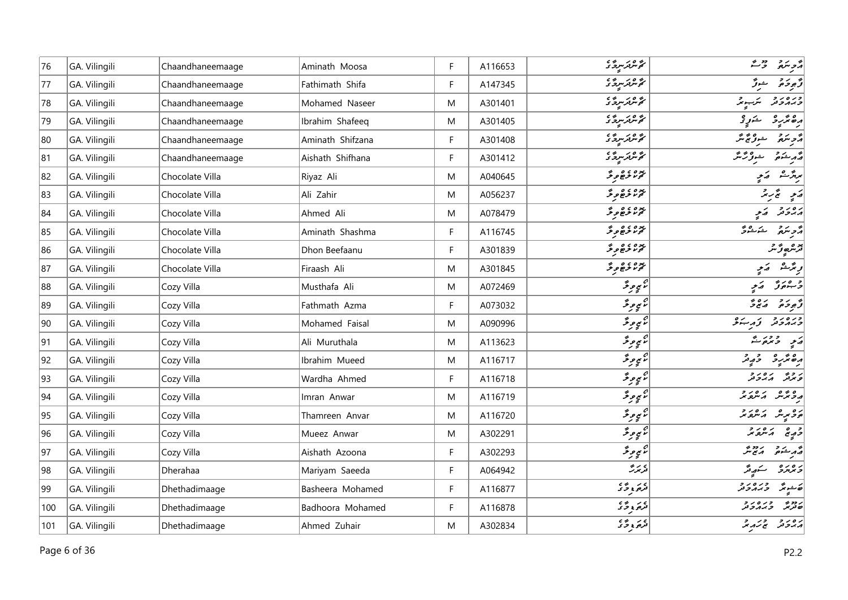| 76  | GA. Vilingili | Chaandhaneemaage | Aminath Moosa    | F         | A116653 | ىمەمە <i>كەس ئە</i>                                      | دومع<br>أروبتهم                                                                                                                                                                                                                                           |
|-----|---------------|------------------|------------------|-----------|---------|----------------------------------------------------------|-----------------------------------------------------------------------------------------------------------------------------------------------------------------------------------------------------------------------------------------------------------|
| 77  | GA. Vilingili | Chaandhaneemaage | Fathimath Shifa  | F.        | A147345 | ۇ مۇبىر بىرى<br>مۇسرىرىيەت                               | و مر د<br>اقرامو حرم<br>شىدۇ .                                                                                                                                                                                                                            |
| 78  | GA. Vilingili | Chaandhaneemaage | Mohamed Naseer   | M         | A301401 | ۇ ئىرتى <i>ر بىر ۋ</i> ئ                                 | و ره ر و<br><i>و ټ</i> رو تر<br>ىئرسېرىتر                                                                                                                                                                                                                 |
| 79  | GA. Vilingili | Chaandhaneemaage | Ibrahim Shafeeq  | M         | A301405 | ۇ ئىرتى <i>ر بىر</i> گە ئ                                | ە ھېڭرىر<br>بر ھېڭرىرى<br>ستذكر ثح                                                                                                                                                                                                                        |
| 80  | GA. Vilingili | Chaandhaneemaage | Aminath Shifzana | F         | A301408 | ىمەمە <i>كەس ئە</i>                                      | أروسي<br>ىشە <b>ر</b> ئ <sup>ى</sup> ئەگر                                                                                                                                                                                                                 |
| 81  | GA. Vilingili | Chaandhaneemaage | Aishath Shifhana | F         | A301412 | ۇ مۇبىر بىرى<br>مۇسرىرى <i>رى</i>                        | ۇرمىئوم مەرقىتر                                                                                                                                                                                                                                           |
| 82  | GA. Vilingili | Chocolate Villa  | Riyaz Ali        | M         | A040645 | پره <sub>و و ه</sub> و و گ                               |                                                                                                                                                                                                                                                           |
| 83  | GA. Vilingili | Chocolate Villa  | Ali Zahir        | ${\sf M}$ | A056237 | پره <sub>و کا</sub> هو ځه                                | $\frac{2}{3}$ $\frac{2}{3}$ $\frac{2}{3}$                                                                                                                                                                                                                 |
| 84  | GA. Vilingili | Chocolate Villa  | Ahmed Ali        | M         | A078479 | پره <sub>و و ه</sub> و ځه                                | رەرد دَى                                                                                                                                                                                                                                                  |
| 85  | GA. Vilingili | Chocolate Villa  | Aminath Shashma  | F         | A116745 | پره <sub>ک</sub> وهو گر                                  | شكەشى ئە<br>أرمز                                                                                                                                                                                                                                          |
| 86  | GA. Vilingili | Chocolate Villa  | Dhon Beefaanu    | F.        | A301839 | پره ۽ ه<br>محم <sup>ر</sup> خر <u>ه</u> ع <sub>ر</sub> څ | بره هو پژمر<br>تر شر <sub>ه پ</sub> ژمر                                                                                                                                                                                                                   |
| 87  | GA. Vilingili | Chocolate Villa  | Firaash Ali      | M         | A301845 | سوه ده ده د                                              | وېژمشه<br>ەئەمىيە                                                                                                                                                                                                                                         |
| 88  | GA. Vilingili | Cozy Villa       | Musthafa Ali     | M         | A072469 | مېم په موقته<br>مسيح مر                                  | ومبروس كمو                                                                                                                                                                                                                                                |
| 89  | GA. Vilingili | Cozy Villa       | Fathmath Azma    | F         | A073032 | م<br>موسي                                                | و ده ده و                                                                                                                                                                                                                                                 |
| 90  | GA. Vilingili | Cozy Villa       | Mohamed Faisal   | M         | A090996 | ە<br>ئامورۇ                                              | ورەرو تەرىبو                                                                                                                                                                                                                                              |
| 91  | GA. Vilingili | Cozy Villa       | Ali Muruthala    | M         | A113623 | مېموم <sup>م</sup> ځ                                     | أوسم والمحمد والمحمد                                                                                                                                                                                                                                      |
| 92  | GA. Vilingili | Cozy Villa       | Ibrahim Mueed    | M         | A116717 | ە<br>ئەيرەقە                                             | رە ئەر ئىسى                                                                                                                                                                                                                                               |
| 93  | GA. Vilingili | Cozy Villa       | Wardha Ahmed     | F         | A116718 | ە<br>ئايومۇ                                              | ر و په رور و<br>ویرنگ مرکزونکر                                                                                                                                                                                                                            |
| 94  | GA. Vilingili | Cozy Villa       | Imran Anwar      | M         | A116719 | ە<br>ئايىموقە                                            | رو بر مده در د                                                                                                                                                                                                                                            |
| 95  | GA. Vilingili | Cozy Villa       | Thamreen Anvar   | M         | A116720 | لأموعرقر                                                 | بر 2 مر حر<br>ۇۋىرىر                                                                                                                                                                                                                                      |
| 96  | GA. Vilingili | Cozy Villa       | Mueez Anwar      | M         | A302291 | لأموعر                                                   | وره پره د                                                                                                                                                                                                                                                 |
| 97  | GA. Vilingili | Cozy Villa       | Aishath Azoona   | F         | A302293 | لأموعر                                                   | و گرېشو که د کار د کار د کار د کار د کار د کار د کار د کار د کار د کار د کار د کار د کار د کار د کار د کار د ک<br>مرکز کار د کار د کار د کار د کار د کار د کار د کار د کار د کار د کار د کار د کار د کار د کار د کار د کار د کار<br>پر دو می <sub>گ</sub> |
| 98  | GA. Vilingili | Dherahaa         | Mariyam Saeeda   | F         | A064942 | ى رىپىر<br>قرىمرگ                                        | رەرە سەرقە                                                                                                                                                                                                                                                |
| 99  | GA. Vilingili | Dhethadimaage    | Basheera Mohamed | F         | A116877 | ړ د پر په<br>تره د ژ د                                   | و ره ر و<br>تر پر ژنر<br>كالصفيوتير                                                                                                                                                                                                                       |
| 100 | GA. Vilingili | Dhethadimaage    | Badhoora Mohamed | F.        | A116878 | ه ره په په<br>مرغ د ژ                                    | ر دو پر<br>ن تر پر<br>و رە ر د<br>تر پروتر                                                                                                                                                                                                                |
| 101 | GA. Vilingili | Dhethadimaage    | Ahmed Zuhair     | M         | A302834 | ۍ د په په<br>مرحو وگړ                                    | أرەرو ور                                                                                                                                                                                                                                                  |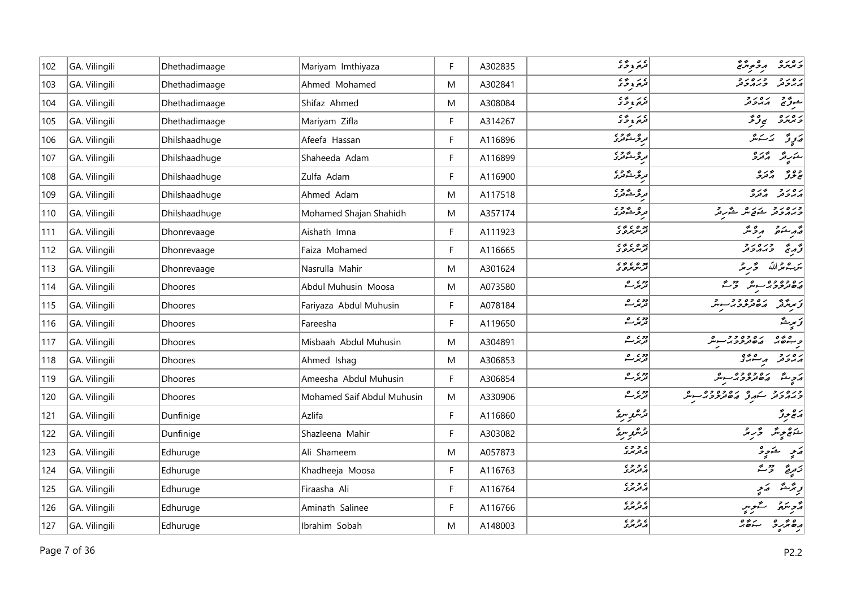| 102 | GA. Vilingili | Dhethadimaage  | Mariyam Imthiyaza          | F           | A302835 | ه د په وي<br>تره و د د                | د و ه د د<br>ر ه بر ه<br>تر بر بر                  |
|-----|---------------|----------------|----------------------------|-------------|---------|---------------------------------------|----------------------------------------------------|
| 103 | GA. Vilingili | Dhethadimaage  | Ahmed Mohamed              | M           | A302841 | ړ د پر<br>تره د ژ د                   | و ر ه ر د<br>تر پر ژ تر<br>پرور و                  |
| 104 | GA. Vilingili | Dhethadimaage  | Shifaz Ahmed               | M           | A308084 | ې په په په<br>تره د پر ک              | شورگ <sup>و</sup> تح<br>پروژو                      |
| 105 | GA. Vilingili | Dhethadimaage  | Mariyam Zifla              | F           | A314267 | ې ئەر ئ <sup>ەس</sup> ى<br>مەھرىم ئ   | دەرە بىر ئى                                        |
| 106 | GA. Vilingili | Dhilshaadhuge  | Afeefa Hassan              | F           | A116896 | و ه <sup>و و پ</sup>                  | ړَږِرَ پَاسَاس                                     |
| 107 | GA. Vilingili | Dhilshaadhuge  | Shaheeda Adam              | F.          | A116899 | و و گرو د<br>ترنوگوری                 | شَرِيرٌ   ارْتَرْحْ                                |
| 108 | GA. Vilingili | Dhilshaadhuge  | Zulfa Adam                 | F.          | A116900 | و و گرو د<br>ترنوگوری                 | وه په پره<br>پحرو گ <sup>و</sup> رو                |
| 109 | GA. Vilingili | Dhilshaadhuge  | Ahmed Adam                 | M           | A117518 | ترتر شەترى                            | ره رح ده<br>پرېدن پرتر                             |
| 110 | GA. Vilingili | Dhilshaadhuge  | Mohamed Shajan Shahidh     | M           | A357174 | و و <sup>و و ي</sup>                  | ورەرو خەي ھەرتى                                    |
| 111 | GA. Vilingili | Dhonrevaage    | Aishath Imna               | F           | A111923 | پر ۵ ۵ ۵ و ۲<br>  قرس مرح ی           | أقهر شدة أمرد تكر                                  |
| 112 | GA. Vilingili | Dhonrevaage    | Faiza Mohamed              | F.          | A116665 | پر ہ ر ، » ر<br>ترسربر <sub>حرک</sub> | وٌمِ حَمَد ورو                                     |
| 113 | GA. Vilingili | Dhonrevaage    | Nasrulla Mahir             | M           | A301624 | پر و ۽ پر ۽<br>ترس پرو ي              | ىترىبقىتراللە گەرىتى                               |
| 114 | GA. Vilingili | <b>Dhoores</b> | Abdul Muhusin Moosa        | M           | A073580 | ود ۽ ه                                | ره وه وه مسرح مدرج<br>پره تربربر برخش و مشک        |
| 115 | GA. Vilingili | <b>Dhoores</b> | Fariyaza Abdul Muhusin     | F           | A078184 | دد ،<br>تر بر گ                       | ز بر گرفته می مرد و در مستقر                       |
| 116 | GA. Vilingili | <b>Dhoores</b> | Fareesha                   | F           | A119650 | ود ۽ ه<br>تريمر ڪ                     | ائر مرید<br>—                                      |
| 117 | GA. Vilingili | <b>Dhoores</b> | Misbaah Abdul Muhusin      | M           | A304891 | ود ۽ ه<br>تريمر ڪ                     | و موده ده ده دو د کرد.<br>د سوه به از هر دو بر سوس |
| 118 | GA. Vilingili | <b>Dhoores</b> | Ahmed Ishaq                | M           | A306853 | ود ۽ ه                                | بره رو به مرده و                                   |
| 119 | GA. Vilingili | <b>Dhoores</b> | Ameesha Abdul Muhusin      | F.          | A306854 | دد ، م<br>تربر ک                      | ر به ده ده ده و ده م                               |
| 120 | GA. Vilingili | <b>Dhoores</b> | Mohamed Saif Abdul Muhusin | M           | A330906 | دو بر _<br>  تد بر __                 | وره رو دره ره ده دوره سور                          |
| 121 | GA. Vilingili | Dunfinige      | Azlifa                     | F           | A116860 | قرىثىر بىرى                           | ره ويژگی<br>د بح مرتز                              |
| 122 | GA. Vilingili | Dunfinige      | Shazleena Mahir            | F           | A303082 | قرشر ببرتم                            | خۇيم ئەرلىم                                        |
| 123 | GA. Vilingili | Edhuruge       | Ali Shameem                | M           | A057873 | ے و و ے<br>پر تعریمی                  | ړې شوده                                            |
| 124 | GA. Vilingili | Edhuruge       | Khadheeja Moosa            | F           | A116763 | ے و و ے<br>پر تعریمی                  | زَمرِيَّ<br>ح<br>د مشه                             |
| 125 | GA. Vilingili | Edhuruge       | Firaasha Ali               | $\mathsf F$ | A116764 | ړ و و ړ<br>مرمونو                     | وبڑنڈ<br>$\frac{1}{2}$                             |
| 126 | GA. Vilingili | Edhuruge       | Aminath Salinee            | F.          | A116766 |                                       | $\frac{2}{\sqrt{2}}$<br>قسمة<br>مشويير             |
| 127 | GA. Vilingili | Edhuruge       | Ibrahim Sobah              | M           | A148003 | ے و و ے<br>پر تعریمی                  |                                                    |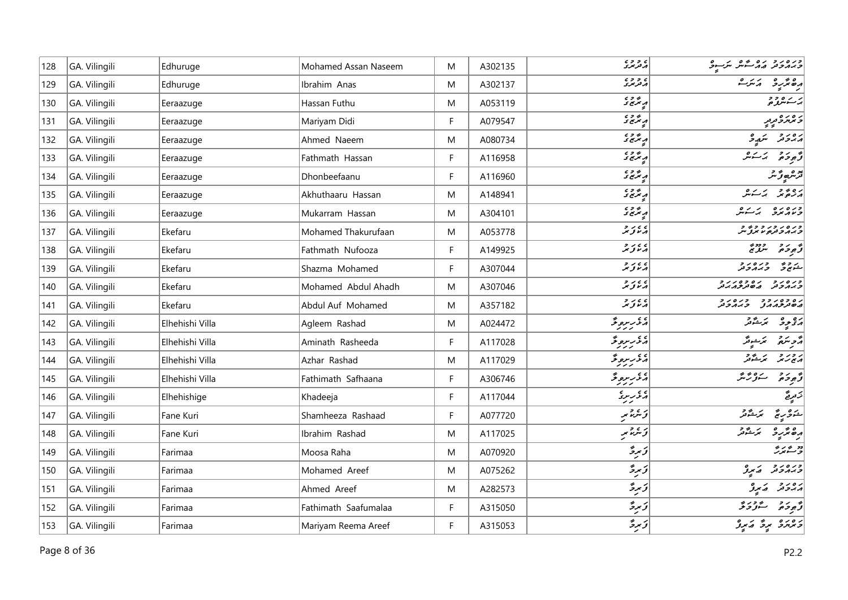| 128 | GA. Vilingili | Edhuruge        | Mohamed Assan Naseem | M  | A302135 | ے و و ے<br>پر تعریمی ک                      | ورەرو رە بەھر س س                                                   |
|-----|---------------|-----------------|----------------------|----|---------|---------------------------------------------|---------------------------------------------------------------------|
| 129 | GA. Vilingili | Edhuruge        | Ibrahim Anas         | M  | A302137 | ے و و ے<br>پر تعری                          | رە ئرىر ئىكرى                                                       |
| 130 | GA. Vilingili | Eeraazuge       | Hassan Futhu         | M  | A053119 | ېږ تر د پر<br>په تنریح ک                    | ر<br>بر سەمبرو د                                                    |
| 131 | GA. Vilingili | Eeraazuge       | Mariyam Didi         | F  | A079547 | د مرگ د ،<br>په مرگ د                       | ر ە ر ە<br>5 ئىرىر3 تىرتىر                                          |
| 132 | GA. Vilingili | Eeraazuge       | Ahmed Naeem          | M  | A080734 | د پر پر د<br>د پر پر پر                     | <i>ג</i> در در سمده                                                 |
| 133 | GA. Vilingili | Eeraazuge       | Fathmath Hassan      | F  | A116958 | د پره د د<br>د پرې                          | ۋە ئەسەر                                                            |
| 134 | GA. Vilingili | Eeraazuge       | Dhonbeefaanu         | F  | A116960 | د پژوي<br>په پژي                            | <mark>بر<sub>ىگى</sub> ئ</mark> ەشر                                 |
| 135 | GA. Vilingili | Eeraazuge       | Akhuthaaru Hassan    | M  | A148941 | د پر پی د ؟<br>د په پنگ پی                  | رەپرى ئەسەھ                                                         |
| 136 | GA. Vilingili | Eeraazuge       | Mukarram Hassan      | M  | A304101 | د ۶۶ و <sup>ء</sup><br>په مربع <sub>ک</sub> | و ره ره<br>د تا د برو                                               |
| 137 | GA. Vilingili | Ekefaru         | Mohamed Thakurufaan  | M  | A053778 | ې په بر چه<br>د تنو تن                      | و ر ه ر و ر و و و و<br><i>و پر در و نورو پ</i> ر تر ش               |
| 138 | GA. Vilingili | Ekefaru         | Fathmath Nufooza     | F  | A149925 | ې ئەستىر<br>مەمۇمىر                         | و ووي<br>سرونج<br>وٌجوحهُ                                           |
| 139 | GA. Vilingili | Ekefaru         | Shazma Mohamed       | F  | A307044 | ې ئەسر جە                                   | شەرە درەرد                                                          |
| 140 | GA. Vilingili | Ekefaru         | Mohamed Abdul Ahadh  | M  | A307046 | ې ئەسر جە                                   | وره ر و دره وه ر ر و<br><i>و بر مرح تر م</i> ه تر <i>و مر</i> بر تر |
| 141 | GA. Vilingili | Ekefaru         | Abdul Auf Mohamed    | M  | A357182 | ې ئەسر جە                                   | ره وه روو - وره رو<br>גשتر پر بر چربر تر                            |
| 142 | GA. Vilingili | Elhehishi Villa | Agleem Rashad        | M  | A024472 | ە ئەربىرە ئ <sup>ۇ</sup>                    | پروگو د استخابی                                                     |
| 143 | GA. Vilingili | Elhehishi Villa | Aminath Rasheeda     | F  | A117028 | ە ئەربىرە بۇ<br>مەربەر                      | أأدوسكم أتمر المراشوقر                                              |
| 144 | GA. Vilingili | Elhehishi Villa | Azhar Rashad         | M  | A117029 | ە ئەربىرە ئ <sup>ۇ</sup>                    | رورو برخور                                                          |
| 145 | GA. Vilingili | Elhehishi Villa | Fathimath Safhaana   | F  | A306746 | ە ئەرىرە ئى<br> -                           | سەۋرتىتر<br>ۇ بور ە<br>مە                                           |
| 146 | GA. Vilingili | Elhehishige     | Khadeeja             | F  | A117044 | ە ئەرىرە<br>مەنرىر                          | رَ مرِجَّ<br>ر                                                      |
| 147 | GA. Vilingili | Fane Kuri       | Shamheeza Rashaad    | F  | A077720 | ر بر د<br> زینرمذبر                         | $rac{2}{\sqrt{2\cdot\frac{1}{2}}\cdot\frac{2}{2}}$                  |
| 148 | GA. Vilingili | Fane Kuri       | Ibrahim Rashad       | M  | A117025 | ر ہے ج<br> ئوسرىم مېر                       | دەندېر<br>ىر شەھر                                                   |
| 149 | GA. Vilingili | Farimaa         | Moosa Raha           | M  | A070920 | ترىرد                                       | وحسيرته                                                             |
| 150 | GA. Vilingili | Farimaa         | Mohamed Areef        | M  | A075262 | ۇىرۇ                                        | ورەرو كەيدۇ                                                         |
| 151 | GA. Vilingili | Farimaa         | Ahmed Areef          | M  | A282573 | ۇ بىردى<br>مەس                              | برەر دىرو                                                           |
| 152 | GA. Vilingili | Farimaa         | Fathimath Saafumalaa | F  | A315050 | ترىرد                                       | قرج چرخه<br>سەدىرى                                                  |
| 153 | GA. Vilingili | Farimaa         | Mariyam Reema Areef  | F. | A315053 | ترىرد                                       | ג 200 ת 3 הת צ                                                      |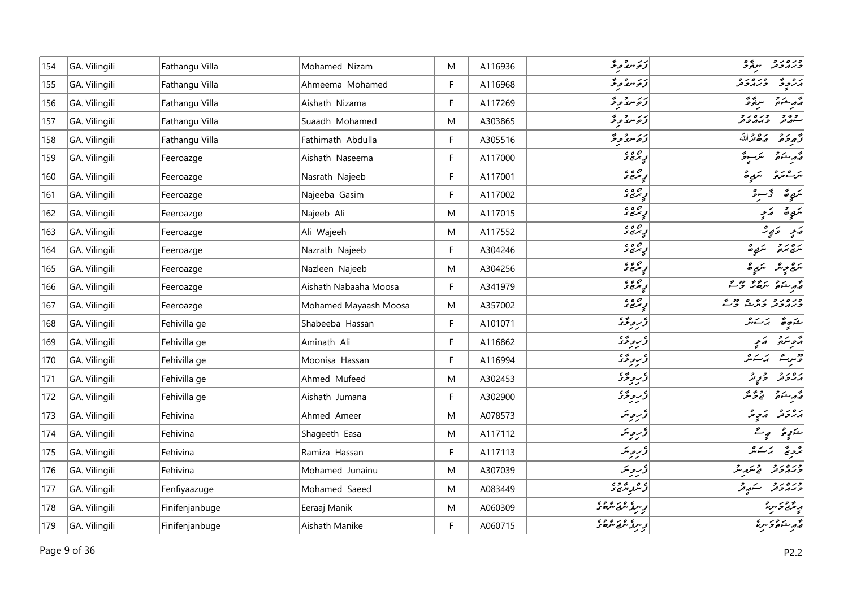| 154 | GA. Vilingili | Fathangu Villa | Mohamed Nizam         | M           | A116936 | ئۇءَ سۇ عبە قر                              | 3 مەدرىيە سرگەنى                        |
|-----|---------------|----------------|-----------------------|-------------|---------|---------------------------------------------|-----------------------------------------|
| 155 | GA. Vilingili | Fathangu Villa | Ahmeema Mohamed       | F           | A116968 | رىر سى <i>ڭ ھ</i> ېڭە                       | در دره دره در                           |
| 156 | GA. Vilingili | Fathangu Villa | Aishath Nizama        | $\mathsf F$ | A117269 | ئۇءَ سۇ عبە قر                              | أأمر يشكم المسترائح                     |
| 157 | GA. Vilingili | Fathangu Villa | Suaadh Mohamed        | M           | A303865 | ئەئەرسىمى ئەگە                              | روبو ورەرو<br>سەھەر وبەمەوتر            |
| 158 | GA. Vilingili | Fathangu Villa | Fathimath Abdulla     | $\mathsf F$ | A305516 | ر<br>زە ئىرىمۇ ھ <sub>ى</sub> م             | و برد بره دالله                         |
| 159 | GA. Vilingili | Feeroazge      | Aishath Naseema       | $\mathsf F$ | A117000 | و چې د<br>نومندن                            | ۇرىشقى سىرسوڭ                           |
| 160 | GA. Vilingili | Feeroazge      | Nasrath Najeeb        | F           | A117001 | و چې د<br>نومندنۍ                           | ئەر <i>مەدە</i> ئىرىمى ھ                |
| 161 | GA. Vilingili | Feeroazge      | Najeeba Gasim         | $\mathsf F$ | A117002 | و ۵ ۵ م<br>پوسر پر                          |                                         |
| 162 | GA. Vilingili | Feeroazge      | Najeeb Ali            | M           | A117015 | ه ۵ ۵ و <sup>ء</sup><br>توسم پر             | سكيح<br>رځمنې                           |
| 163 | GA. Vilingili | Feeroazge      | Ali Wajeeh            | M           | A117552 | وچە                                         | ړې دي د                                 |
| 164 | GA. Vilingili | Feeroazge      | Nazrath Najeeb        | F           | A304246 | ە ە ە<br>پ <sub>ە</sub> ئىرى                |                                         |
| 165 | GA. Vilingili | Feeroazge      | Nazleen Najeeb        | M           | A304256 | ر ه ه ه و<br>مړين د                         | ىرچى ئەر ئىس ئى                         |
| 166 | GA. Vilingili | Feeroazge      | Aishath Nabaaha Moosa | F           | A341979 | و ۵ ۵ م<br>م <sub>و</sub> تریخ د            | و در در دور در د                        |
| 167 | GA. Vilingili | Feeroazge      | Mohamed Mayaash Moosa | M           | A357002 | و ۵ ۵ م<br>پوټر <i>پ</i> ح                  | ورەر د د پره دد ه<br>وبرارونر وارشر و ب |
| 168 | GA. Vilingili | Fehivilla ge   | Shabeeba Hassan       | $\mathsf F$ | A101071 | ۇروڭۇ                                       | شَوَةٌ يَا يُمْ                         |
| 169 | GA. Vilingili | Fehivilla ge   | Aminath Ali           | F           | A116862 | ۇروڭۇ<br><u>سىرى</u> ر                      |                                         |
| 170 | GA. Vilingili | Fehivilla ge   | Moonisa Hassan        | F           | A116994 | ۇروڭۇ                                       | وحسرت يركبو                             |
| 171 | GA. Vilingili | Fehivilla ge   | Ahmed Mufeed          | M           | A302453 | ۇروڭۇ                                       | أرور ورو                                |
| 172 | GA. Vilingili | Fehivilla ge   | Aishath Jumana        | F           | A302900 | ۇر <sub>مو</sub> ۇ؟<br>م                    |                                         |
| 173 | GA. Vilingili | Fehivina       | Ahmed Ameer           | M           | A078573 | ۇروپر                                       |                                         |
| 174 | GA. Vilingili | Fehivina       | Shageeth Easa         | M           | A117112 | اؤروبئر<br>ڪسيا                             | أَحْتَوِمُ مِيْ أَ                      |
| 175 | GA. Vilingili | Fehivina       | Ramiza Hassan         | $\mathsf F$ | A117113 | ء<br>فرسر عبر                               | أتروج برسكس                             |
| 176 | GA. Vilingili | Fehivina       | Mohamed Junainu       | M           | A307039 | ۇر <sub>ە</sub> بىر                         |                                         |
| 177 | GA. Vilingili | Fenfiyaazuge   | Mohamed Saeed         | M           | A083449 | ئۇ شرىر تەرى<br>  ئۇ شرىر تىرى              | ورەرو كەر                               |
| 178 | GA. Vilingili | Finifenjanbuge | Eeraaj Manik          | M           | A060309 | ى <sub>ر س</sub> ىۋىتر <sub>ى</sub> ق تەرەپ | ە ئىرى ئەسرىر<br>ئ                      |
| 179 | GA. Vilingili | Finifenjanbuge | Aishath Manike        | F           | A060715 | و سوڭرىق ئىزھۇ                              | ە ئەرىشە ئەرىئە                         |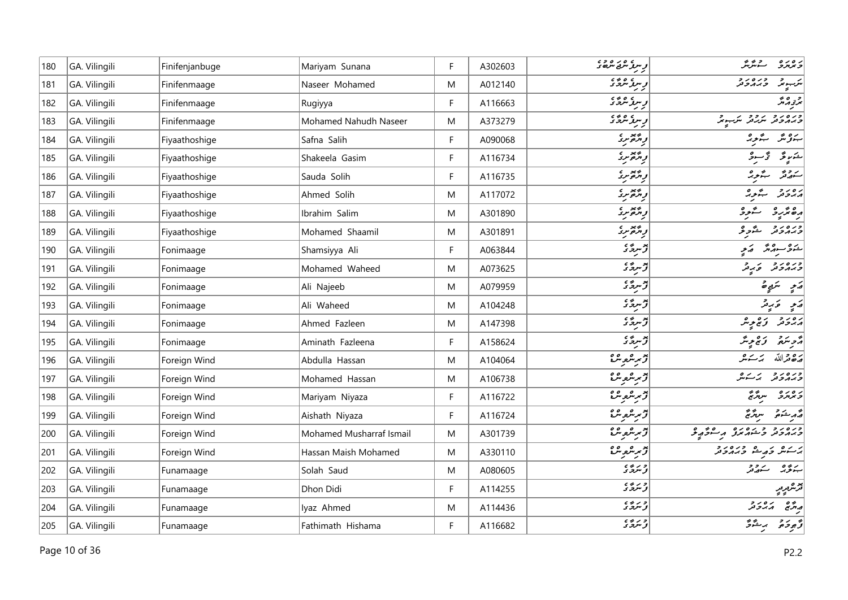| 180 | GA. Vilingili | Finifenjanbuge | Mariyam Sunana           | F           | A302603 | د سرو سره و د ه<br>  د سرو سره سره د | <u>ر تړ پر کل</u><br>تر جو بر ج                           |
|-----|---------------|----------------|--------------------------|-------------|---------|--------------------------------------|-----------------------------------------------------------|
| 181 | GA. Vilingili | Finifenmaage   | Naseer Mohamed           | M           | A012140 | ر سرز مرد ؟<br>سرز مرد ؟             | و ر ه ر و<br>و ژ پر و تر<br>لترسونر                       |
| 182 | GA. Vilingili | Finifenmaage   | Rugiyya                  | F           | A116663 | ر سرز مرد ؟<br>سرز مرد ؟             | حر <sub>ى</sub> مەركى<br>مىرى مەركى                       |
| 183 | GA. Vilingili | Finifenmaage   | Mohamed Nahudh Naseer    | M           | A373279 | اوسۇمىزد                             | ورەر و روو تربيد                                          |
| 184 | GA. Vilingili | Fiyaathoshige  | Safna Salih              | $\mathsf F$ | A090068 | و پھر ہ<br>پر مرتد سر                | بنوتر بثرو                                                |
| 185 | GA. Vilingili | Fiyaathoshige  | Shakeela Gasim           | $\mathsf F$ | A116734 | و پر پر<br>تر پر پر پر               | شەرقە قىسىۋ                                               |
| 186 | GA. Vilingili | Fiyaathoshige  | Sauda Solih              | F           | A116735 | و پژ <sub>یخ مری</sub><br>ر          | سەرە بەرە                                                 |
| 187 | GA. Vilingili | Fiyaathoshige  | Ahmed Solih              | M           | A117072 | و پر پر ۽<br>ابر مربو                | رەرد بەدە                                                 |
| 188 | GA. Vilingili | Fiyaathoshige  | Ibrahim Salim            | M           | A301890 | و پر پر<br>پر مربح سر پر             | ە ھەترىر <sup>ە</sup><br>سەّوۋ                            |
| 189 | GA. Vilingili | Fiyaathoshige  | Mohamed Shaamil          | M           | A301891 | و بو بر<br>تر پژه تر بر              | ورەرو ئەۋر                                                |
| 190 | GA. Vilingili | Fonimaage      | Shamsiyya Ali            | F           | A063844 | ېز سرچ <sub>ک</sub>                  | شكى سىركى كەنچ                                            |
| 191 | GA. Vilingili | Fonimaage      | Mohamed Waheed           | M           | A073625 | بر<br>اقر سرچ <sub>ک</sub>           | ورەر ئەر ئە                                               |
| 192 | GA. Vilingili | Fonimaage      | Ali Najeeb               | M           | A079959 | زمېردى                               |                                                           |
| 193 | GA. Vilingili | Fonimaage      | Ali Waheed               | M           | A104248 | بر<br>تر سرچ <sup>ی</sup>            | أەسم ئەرەم                                                |
| 194 | GA. Vilingili | Fonimaage      | Ahmed Fazleen            | M           | A147398 | بر<br>تر سرچ <sup>ی</sup>            | رەرو رەپەر                                                |
| 195 | GA. Vilingili | Fonimaage      | Aminath Fazleena         | F           | A158624 | قرسرچری                              | أأدينه وكالمحيث                                           |
| 196 | GA. Vilingili | Foreign Wind   | Abdulla Hassan           | M           | A104064 | زىرىئىرىنىڭ                          | مَدْهُ مِّرَاللَّهُ بَرَسَهُ                              |
| 197 | GA. Vilingili | Foreign Wind   | Mohamed Hassan           | M           | A106738 | دسمبر مرشور شدنا                     | ورەرو پەسەش                                               |
| 198 | GA. Vilingili | Foreign Wind   | Mariyam Niyaza           | F           | A116722 | ۇ <sub>مر</sub> ىئىم <sub>ە</sub> ش؟ | גם גם היות                                                |
| 199 | GA. Vilingili | Foreign Wind   | Aishath Niyaza           | F           | A116724 | زىرىئىرىنىڭ                          | وكروشكو سرومج                                             |
| 200 | GA. Vilingili | Foreign Wind   | Mohamed Musharraf Ismail | M           | A301739 | زىرىئىرىنى                           | وره رو و ره ره ده و در و و<br>وبروونر و شوربرتی در سوژونو |
| 201 | GA. Vilingili | Foreign Wind   | Hassan Maish Mohamed     | M           | A330110 | زئىر يىمويىنى                        | برزه وره وره دد                                           |
| 202 | GA. Vilingili | Funamaage      | Solah Saud               | M           | A080605 | و ر د ،<br>و سرچ د                   | بذبوه التذوير                                             |
| 203 | GA. Vilingili | Funamaage      | Dhon Didi                | F           | A114255 | و ر د ،<br>و سرچ د                   | بو ه<br>ترسوپور                                           |
| 204 | GA. Vilingili | Funamaage      | lyaz Ahmed               | M           | A114436 | و ر د د<br>توسرچ د                   |                                                           |
| 205 | GA. Vilingili | Funamaage      | Fathimath Hishama        | F           | A116682 | و ر د ،<br>توسرچ ي                   | ۇ بۇ ئەس باشگە                                            |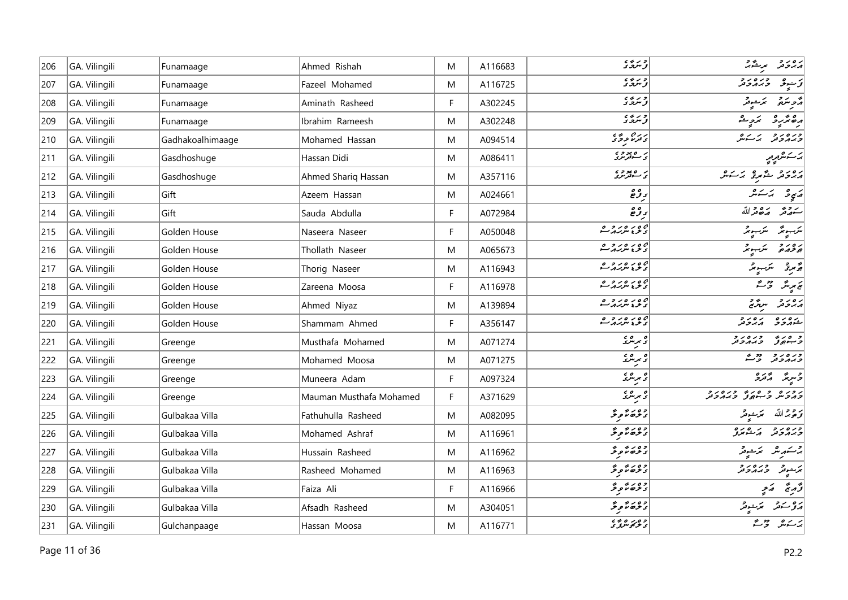| 206 | GA. Vilingili | Funamaage        | Ahmed Rishah            | M  | A116683 | و پر پر پر<br>توسر <del>ی</del> ر <sub>ک</sub>   | پروتر برگر                              |
|-----|---------------|------------------|-------------------------|----|---------|--------------------------------------------------|-----------------------------------------|
| 207 | GA. Vilingili | Funamaage        | Fazeel Mohamed          | M  | A116725 | و پر پر پر<br>توسر <del>ی</del> ر <sub>ت</sub> ح | و رە ر د<br>تر پروتر<br>  توسیونژ<br>   |
| 208 | GA. Vilingili | Funamaage        | Aminath Rasheed         | F. | A302245 | و پر پر پر<br>توسر <del>ی</del> ر <sub>ک</sub>   | أأوسكم المرشوش                          |
| 209 | GA. Vilingili | Funamaage        | Ibrahim Rameesh         | M  | A302248 | و پر پر پر<br>توسر <del>ی</del> ر <sub>ک</sub>   | ره پر ره<br>ره بر ره<br>سمكرجر مشر      |
| 210 | GA. Vilingili | Gadhakoalhimaaqe | Mohamed Hassan          | M  | A094514 | ئەنزىر ئەچ ئ                                     | ورەرو پرىكى                             |
| 211 | GA. Vilingili | Gasdhoshuge      | Hassan Didi             | M  | A086411 | ر ۔ 2 پر و ۽<br>ي سنگرمزي                        | ئەسەئىر بىر<br>مەسىر                    |
| 212 | GA. Vilingili | Gasdhoshuge      | Ahmed Shariq Hassan     | M  | A357116 | ر ۔ صوبے<br>ی سسور مر <sub>ک</sub>               | رەرد ئۇنزۇ ئەسەر                        |
| 213 | GA. Vilingili | Gift             | Azeem Hassan            | M  | A024661 | روه                                              | أمي و المركب محمد                       |
| 214 | GA. Vilingili | Gift             | Sauda Abdulla           | F  | A072984 | روه                                              | تحصقر صكائلة                            |
| 215 | GA. Vilingili | Golden House     | Naseera Naseer          | F  | A050048 | ە ە رەر دە<br>ئەخرى ئىر <i>د</i> ار              | للرسولات الكرسولا                       |
| 216 | GA. Vilingili | Golden House     | Thollath Naseer         | M  | A065673 | ە ە رەر دەر<br>ئەنزى <sub>دى</sub> ر             | رەرد شبىر                               |
| 217 | GA. Vilingili | Golden House     | Thorig Naseer           | M  | A116943 | ە ە رە روپە<br>ئەمەندىن مەر                      | ۇ <sub>مۇق</sub> سۇسبەتر<br>م           |
| 218 | GA. Vilingili | Golden House     | Zareena Moosa           | F  | A116978 | ە ە رەر دە<br>ئەمەنە مەركەت                      | كالمج موسقه وحرثته                      |
| 219 | GA. Vilingili | Golden House     | Ahmed Niyaz             | M  | A139894 | ە ە ر ەر د مە                                    | גפנג תוצב                               |
| 220 | GA. Vilingili | Golden House     | Shammam Ahmed           | F  | A356147 | ە ە رەر دە<br>ئەمەنە مەركەت                      | شەر ۋە ئە<br>پر ور و                    |
| 221 | GA. Vilingili | Greenge          | Musthafa Mohamed        | M  | A071274 | ە بىر شرى                                        | د په پرو<br>و ر ه ر د<br>تر پر ژ تر     |
| 222 | GA. Vilingili | Greenge          | Mohamed Moosa           | M  | A071275 | ه مره <i>و</i> ،                                 | ورەر دور.<br>وبرورو وت                  |
| 223 | GA. Vilingili | Greenge          | Muneera Adam            | F  | A097324 | و برمری                                          | 3سربرٌ , 15رو                           |
| 224 | GA. Vilingili | Greenge          | Mauman Musthafa Mohamed | F. | A371629 | ە <sub>مرى</sub> رى<br>ئ                         | נגנים ביסני בנסניב<br>בגבית ב-הפל במגבת |
| 225 | GA. Vilingili | Gulbakaa Villa   | Fathuhulla Rasheed      | M  | A082095 | دەر» ۋ                                           | ترحر الله تمرشونر                       |
| 226 | GA. Vilingili | Gulbakaa Villa   | Mohamed Ashraf          | M  | A116961 | د وړه مأمو څه                                    | وره رو بر عاده<br>وبرماوتر بر شوبرو     |
| 227 | GA. Vilingili | Gulbakaa Villa   | Hussain Rasheed         | M  | A116962 | دەر» ۋ<br>ئەخر <i>ە</i> ئىرى                     | برسكور كرجوش                            |
| 228 | GA. Vilingili | Gulbakaa Villa   | Rasheed Mohamed         | M  | A116963 | دەر» ۋگە                                         | ىرىسوتر <i>دىمەدىر</i>                  |
| 229 | GA. Vilingili | Gulbakaa Villa   | Faiza Ali               | F. | A116966 | دەرد ئەرگە<br>ئەخر <i>ە ئى</i> ر                 | وٌمرِجَ المَاحِرِ                       |
| 230 | GA. Vilingili | Gulbakaa Villa   | Afsadh Rasheed          | M  | A304051 | د ه پرې وگړ                                      | ره کرد کرد ور<br>امروکسکور کرد          |
| 231 | GA. Vilingili | Gulchanpaage     | Hassan Moosa            | M  | A116771 | و ه بر ۵ پر پ<br>ترموکتوسرتو تر                  | ير سەيھە المحق شە                       |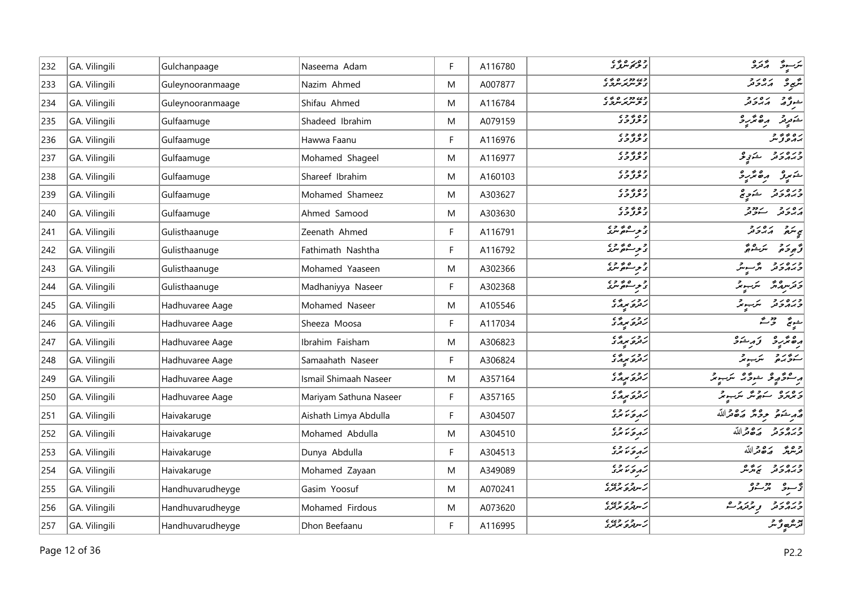| 232 | GA. Vilingili | Gulchanpaage     | Naseema Adam           | F         | A116780 | و ہے پر ہ و » ،<br>ترمیم سمل ی                       | پر ہ<br>مرترو<br>ىئەسەدى<br>ئ            |
|-----|---------------|------------------|------------------------|-----------|---------|------------------------------------------------------|------------------------------------------|
| 233 | GA. Vilingili | Guleynooranmaage | Nazim Ahmed            | M         | A007877 | وړ، دور ه و ،<br>د نوسربرسر <del>د</del> د           | متَّبعٍ رُ<br>برورد                      |
| 234 | GA. Vilingili | Guleynooranmaage | Shifau Ahmed           | ${\sf M}$ | A116784 | وړ دور ه و ،<br>د <del>و</del> سربرسر <del>د</del> د | شەۋگە<br>پر و پر و                       |
| 235 | GA. Vilingili | Gulfaamuge       | Shadeed Ibrahim        | M         | A079159 | وه پو و ،<br><b>ئ ترتر</b> تر                        | ەھ تررۈ<br>ے موب <sup>و</sup> ر<br>ح     |
| 236 | GA. Vilingili | Gulfaamuge       | Hawwa Faanu            | F         | A116976 | وه پو و ،<br>د ترتر تر د                             | رە دىر د<br>بەر ئەتىر                    |
| 237 | GA. Vilingili | Gulfaamuge       | Mohamed Shageel        | M         | A116977 | د ه و د د<br>د ترتر د د                              | ورەرو ئىتېۋ                              |
| 238 | GA. Vilingili | Gulfaamuge       | Shareef Ibrahim        | M         | A160103 | وه پوو ،<br>د تروگر د                                | شورو رەتمرو                              |
| 239 | GA. Vilingili | Gulfaamuge       | Mohamed Shameez        | ${\sf M}$ | A303627 | د ه و و د<br>د ترتو تر د                             | ورەرو شەرە                               |
| 240 | GA. Vilingili | Gulfaamuge       | Ahmed Samood           | ${\sf M}$ | A303630 | وه پوو ،<br>د تروگر د                                | ره ر و دود<br>پرېدو تر سوونو             |
| 241 | GA. Vilingili | Gulisthaanuge    | Zeenath Ahmed          | F         | A116791 | د موره هم د ه<br>  د مورشوه مرد                      | يې سَرَة كَ كَ كَ كَ دَ تَرَ             |
| 242 | GA. Vilingili | Gulisthaanuge    | Fathimath Nashtha      | F         | A116792 | و مره پورې<br>د <del>نو</del> سوه مرد                | تزجر حرم مترشوم                          |
| 243 | GA. Vilingili | Gulisthaanuge    | Mohamed Yaaseen        | M         | A302366 | د په همه و ،<br>  د پېر شوه مرد                      | ورەرو گەسىس                              |
| 244 | GA. Vilingili | Gulisthaanuge    | Madhaniyya Naseer      | F         | A302368 | د په همز د د کا                                      | בנקיינות יוצי ייצור                      |
| 245 | GA. Vilingili | Hadhuvaree Aage  | Mohamed Naseer         | ${\sf M}$ | A105546 | ر ور<br>رکوبورگ                                      | ورەرو شبىر                               |
| 246 | GA. Vilingili | Hadhuvaree Aage  | Sheeza Moosa           | F         | A117034 | ر ور<br>رکوټو پوړۍ                                   | ے جمعے میں حرکتے ہے۔<br>م                |
| 247 | GA. Vilingili | Hadhuvaree Aage  | Ibrahim Faisham        | ${\sf M}$ | A306823 | ر و ر په و<br>ر ترو <sub>م</sub> ر پر                | وهتررة ورشو                              |
| 248 | GA. Vilingili | Hadhuvaree Aage  | Samaahath Naseer       | F         | A306824 | ر ور<br>ر تره مرد د                                  | ستخدمي الكرسومي                          |
| 249 | GA. Vilingili | Hadhuvaree Aage  | Ismail Shimaah Naseer  | M         | A357164 | ژور پروی                                             | راعۇر ئور ئورگا سەببەتر                  |
| 250 | GA. Vilingili | Hadhuvaree Aage  | Mariyam Sathuna Naseer | F         | A357165 | ژور پروی<br>  ژنده <sub>بو</sub> رد                  | رەرە بەدە برىيە                          |
| 251 | GA. Vilingili | Haivakaruge      | Aishath Limya Abdulla  | F         | A304507 | ئەرەك ئەچ                                            | ورشوم ووثر وكالآله                       |
| 252 | GA. Vilingili | Haivakaruge      | Mohamed Abdulla        | M         | A304510 | ئەر <i>ە ئە</i> رە                                   | وره رو ده دالله                          |
| 253 | GA. Vilingili | Haivakaruge      | Dunya Abdulla          | F         | A304513 | ر پر پر و ،<br>ربرو ما بوي                           | ومع رووالله                              |
| 254 | GA. Vilingili | Haivakaruge      | Mohamed Zayaan         | ${\sf M}$ | A349089 | ر<br>رکە ئەنىرى                                      | ورەر دىرە                                |
| 255 | GA. Vilingili | Handhuvarudheyge | Gasim Yoosuf           | M         | A070241 | ر سرو ر وړ، ،<br>رسربره مربری                        | تۇسوۋە بۇسۇۋ                             |
| 256 | GA. Vilingili | Handhuvarudheyge | Mohamed Firdous        | M         | A073620 | ر سرور وړ،  ،<br>رسرفرو بوتو و                       | و ر ه ر و<br>تر پر تر تر<br>و بر تر پر م |
| 257 | GA. Vilingili | Handhuvarudheyge | Dhon Beefaanu          | F         | A116995 | ر سرچ ر وي ۽<br>رسمبر <i>ي پو</i> ٽري                | قرىئرە ئۇ تىر                            |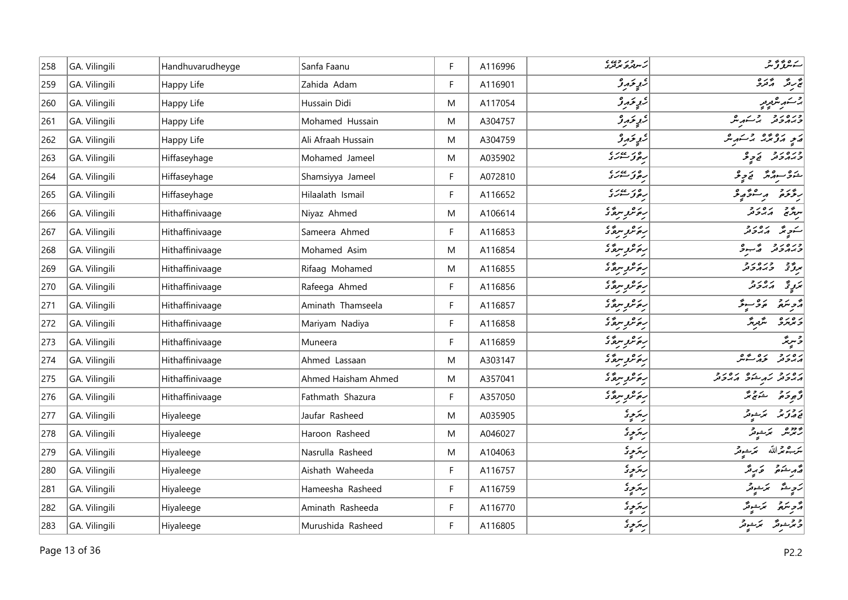| 258 | GA. Vilingili | Handhuvarudheyge | Sanfa Faanu         | F  | A116996 | ر سرور وړ، ،<br>رسربرو بربرد     | ئەندىر ئەر                                  |
|-----|---------------|------------------|---------------------|----|---------|----------------------------------|---------------------------------------------|
| 259 | GA. Vilingili | Happy Life       | Zahida Adam         | F  | A116901 | <sup>ى</sup> بو خەر ۋ            | يحرقر مجترو                                 |
| 260 | GA. Vilingili | Happy Life       | Hussain Didi        | M  | A117054 | ر بو <sub>ت</sub> و بر ژ         | جر ڪمبر سرورپر                              |
| 261 | GA. Vilingili | Happy Life       | Mohamed Hussain     | M  | A304757 | ر بو <sub>ت</sub> و بر و         |                                             |
| 262 | GA. Vilingili | Happy Life       | Ali Afraah Hussain  | M  | A304759 | تجويخهرقر                        | ړې ده پرې پر شهر ش                          |
| 263 | GA. Vilingili | Hiffaseyhage     | Mohamed Jameel      | M  | A035902 | رە ئەسىر ،                       | ورەرو ئەچ                                   |
| 264 | GA. Vilingili | Hiffaseyhage     | Shamsiyya Jameel    | F  | A072810 | رە رې رې<br>رەۋ سىن د            | شكا والمركز المحاوية                        |
| 265 | GA. Vilingili | Hiffaseyhage     | Hilaalath Ismail    | F  | A116652 | رە ئەسىر ،                       | رؤزة وعذرو                                  |
| 266 | GA. Vilingili | Hithaffinivaage  | Niyaz Ahmed         | M  | A106614 | ر بر ژو بېر <u>و ؟</u>           | ייטלים המכבת                                |
| 267 | GA. Vilingili | Hithaffinivaage  | Sameera Ahmed       | F  | A116853 | رۇشۇر بىرقە ئە                   | سكوپى كەمرو                                 |
| 268 | GA. Vilingili | Hithaffinivaage  | Mohamed Asim        | M  | A116854 | رىم ترو بىرىمى<br>رىم ترو بىرىمى | ورەرو ئەبدۇ                                 |
| 269 | GA. Vilingili | Hithaffinivaage  | Rifaag Mohamed      | M  | A116855 | ىرغ <sub>ە</sub> ئىروپىرىقى ئە   | برود دره دو                                 |
| 270 | GA. Vilingili | Hithaffinivaage  | Rafeega Ahmed       | F  | A116856 | رىمۇر بىر ئەس                    | بَرَوٍ يَنْ دَيَرَ مِرْ                     |
| 271 | GA. Vilingili | Hithaffinivaage  | Aminath Thamseela   | F  | A116857 | رە ئەر بىر <i>ە</i> ئ            | ۇچرىنى مۇچرىدۇ                              |
| 272 | GA. Vilingili | Hithaffinivaage  | Mariyam Nadiya      | F  | A116858 | رە تروپىر <i>ە</i> ئ             | سۇپرىژ<br>ر ه ر ه<br><del>ر</del> بربرو     |
| 273 | GA. Vilingili | Hithaffinivaage  | Muneera             | F  | A116859 | رۇشۇر بىرقەتى                    | د سرپر<br>په                                |
| 274 | GA. Vilingili | Hithaffinivaage  | Ahmed Lassaan       | M  | A303147 | رۇشۇر بىرقە ئە                   | رەر دەر شەر                                 |
| 275 | GA. Vilingili | Hithaffinivaage  | Ahmed Haisham Ahmed | M  | A357041 | رە ئەر بىر <i>ە ئ</i>            | גפגב הקיייב הגבת                            |
| 276 | GA. Vilingili | Hithaffinivaage  | Fathmath Shazura    | F. | A357050 | ىرە تروپىرە ئ <sup>ە</sup>       | توجوختم الشيخ يمر                           |
| 277 | GA. Vilingili | Hiyaleege        | Jaufar Rasheed      | M  | A035905 | رېزىپە <sup>ي</sup>              | كالكاتي المركب مركب والمراكب                |
| 278 | GA. Vilingili | Hiyaleege        | Haroon Rasheed      | M  | A046027 | رېزېږ <sup>ي</sup>               | و دو ه پر <sub>شو</sub> تر<br> رسمن کر شوتر |
| 279 | GA. Vilingili | Hiyaleege        | Nasrulla Rasheed    | M  | A104063 | رېزېږ <sup>ي</sup>               | ىتربە چراللە كىرىشونتر                      |
| 280 | GA. Vilingili | Hiyaleege        | Aishath Waheeda     | F. | A116757 | رېزېږ <sup>ي</sup><br>ر          | مەرشىمى كۆرىگە                              |
| 281 | GA. Vilingili | Hiyaleege        | Hameesha Rasheed    | F  | A116759 | رېزى <sub>ۋى</sub>               | كالمحي سيكس كالمحمد من كالمحمد              |
| 282 | GA. Vilingili | Hiyaleege        | Aminath Rasheeda    | F  | A116770 | رېزى <sub>ۋى</sub>               | وحريرة المراشوقر                            |
| 283 | GA. Vilingili | Hiyaleege        | Murushida Rasheed   | F. | A116805 | رېزېږ <sup>ي</sup>               | و و مشاهگر - مرکب و گر                      |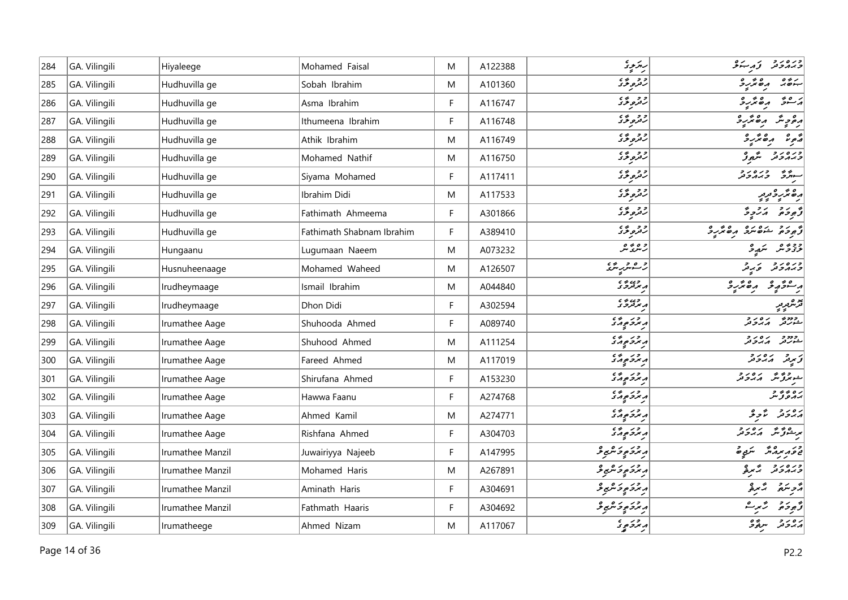| 284 | GA. Vilingili | Hiyaleege        | Mohamed Faisal            | M  | A122388 | رېز پوت <sup>ې</sup>                                                                                | ورەرو ۋەبىكى                            |
|-----|---------------|------------------|---------------------------|----|---------|-----------------------------------------------------------------------------------------------------|-----------------------------------------|
| 285 | GA. Vilingili | Hudhuvilla ge    | Sobah Ibrahim             | M  | A101360 | 2 ترېږي کې                                                                                          | ە ھەترىرى<br>برھىترىرى<br>بەھ           |
| 286 | GA. Vilingili | Hudhuvilla ge    | Asma Ibrahim              | F. | A116747 | 3 قرە <sub>م</sub> ۇرى                                                                              | رە ئۈرۈ<br>رەپچ                         |
| 287 | GA. Vilingili | Hudhuvilla ge    | Ithumeena Ibrahim         | F  | A116748 | رقمه قرقم و                                                                                         | ە ھەترىرى<br>رەدىئە                     |
| 288 | GA. Vilingili | Hudhuvilla ge    | Athik Ibrahim             | M  | A116749 | د د په ،<br>رتره ژگ                                                                                 | $rac{1}{2}$<br>دە ئەرو                  |
| 289 | GA. Vilingili | Hudhuvilla ge    | Mohamed Nathif            | M  | A116750 | د د<br>رتر <sub>ح فرک</sub>                                                                         | و ره ر و<br><i>و ټ</i> رو تر<br>ىئىۋ بۇ |
| 290 | GA. Vilingili | Hudhuvilla ge    | Siyama Mohamed            | F  | A117411 | د د د په<br>رتر <sub>و څر</sub>                                                                     | سەدۇ<br>و ره ر و<br><i>د ب</i> رگرفر    |
| 291 | GA. Vilingili | Hudhuvilla ge    | Ibrahim Didi              | M  | A117533 | د د پر په<br>رتر <sub>ح م</sub> ور                                                                  | ە ھەترىر ۋىرىر<br>مەھەترىر ۋىيە         |
| 292 | GA. Vilingili | Hudhuvilla ge    | Fathimath Ahmeema         | F  | A301866 | 3 قرە ئ <sup>ى</sup> رى                                                                             | وٌ و دَمَ دَ دَرِ دَ                    |
| 293 | GA. Vilingili | Hudhuvilla ge    | Fathimath Shabnam Ibrahim | F  | A389410 | د د پر په<br>رتر <sub>و څر</sub>                                                                    | وجودة خكامية ماليرد                     |
| 294 | GA. Vilingili | Hungaanu         | Lugumaan Naeem            | M  | A073232 | <i>ج</i> مرگە مە                                                                                    | ووءه شهره                               |
| 295 | GA. Vilingili | Husnuheenaage    | Mohamed Waheed            | M  | A126507 | 2 مەش <sub>رىپ</sub> ىرىگە ئە                                                                       | ورەر د رېږ                              |
| 296 | GA. Vilingili | Irudheymaage     | Ismail Ibrahim            | M  | A044840 | <br> مرمونوری                                                                                       | أرەنجرىر<br>برے پچھ پی                  |
| 297 | GA. Vilingili | Irudheymaage     | Dhon Didi                 | F  | A302594 | و پر دره و.<br>در مرفر و د                                                                          | پوه <sub>ر تور</sub> ور<br>ترسرپور      |
| 298 | GA. Vilingili | Irumathee Aage   | Shuhooda Ahmed            | F  | A089740 | ק בק בי<br>ק בק בי                                                                                  | ر دود بر<br>سشوتر تش<br>پرەر د          |
| 299 | GA. Vilingili | Irumathee Aage   | Shuhood Ahmed             | M  | A111254 | پر ټر ځوړي<br>  په ټر څوړنه                                                                         | ودو ره رو<br>شورتر مرکزمر               |
| 300 | GA. Vilingili | Irumathee Aage   | Fareed Ahmed              | M  | A117019 | د برد و د د                                                                                         | توسيقر أمكرون                           |
| 301 | GA. Vilingili | Irumathee Aage   | Shirufana Ahmed           | F  | A153230 | ە ئىر دىم ئە<br>ئ                                                                                   | جوړې ده ده کړې د                        |
| 302 | GA. Vilingili | Irumathee Aage   | Hawwa Faanu               | F. | A274768 | ە بىر دىم كەر<br>ب                                                                                  | رە د د د<br>بەرۈ ۋىتر                   |
| 303 | GA. Vilingili | Irumathee Aage   | Ahmed Kamil               | M  | A274771 | پر ټرې وي                                                                                           | رەر ئەربى                               |
| 304 | GA. Vilingili | Irumathee Aage   | Rishfana Ahmed            | F  | A304703 | د برېږې<br>د برې                                                                                    | برے و میں مدد د<br>برے و شرکت مدد تر    |
| 305 | GA. Vilingili | Irumathee Manzil | Juwairiyya Najeeb         | F  | A147995 | و پرځو په ځشمې څه                                                                                   | <i>יות החייר ייתו</i>                   |
| 306 | GA. Vilingili | Irumathee Manzil | Mohamed Haris             | M  | A267891 | ە بەزىم ئەش <sub>كى</sub> ر                                                                         | ورەرو ئەرە                              |
| 307 | GA. Vilingili | Irumathee Manzil | Aminath Haris             | F  | A304691 | ە برىز ئىم ئەشىر بىر<br>مەنىر ئىم ئىم                                                               | ومحر سكتم المتحرة                       |
| 308 | GA. Vilingili | Irumathee Manzil | Fathmath Haaris           | F  | A304692 | ىر برىئو ئەرىرى ئىلىنى ئىلىرا ئىلىنى ئىلىنى ئىلىنى ئىلىنى ئىلىنى ئىلىنى ئىلىنى ئىللىنىڭ ئىللىنىڭ ئى | ۇ بوزىر                                 |
| 309 | GA. Vilingili | Irumatheege      | Ahmed Nizam               | M  | A117067 | د برځ و ځ<br>ر                                                                                      | رەرو سۆۋ                                |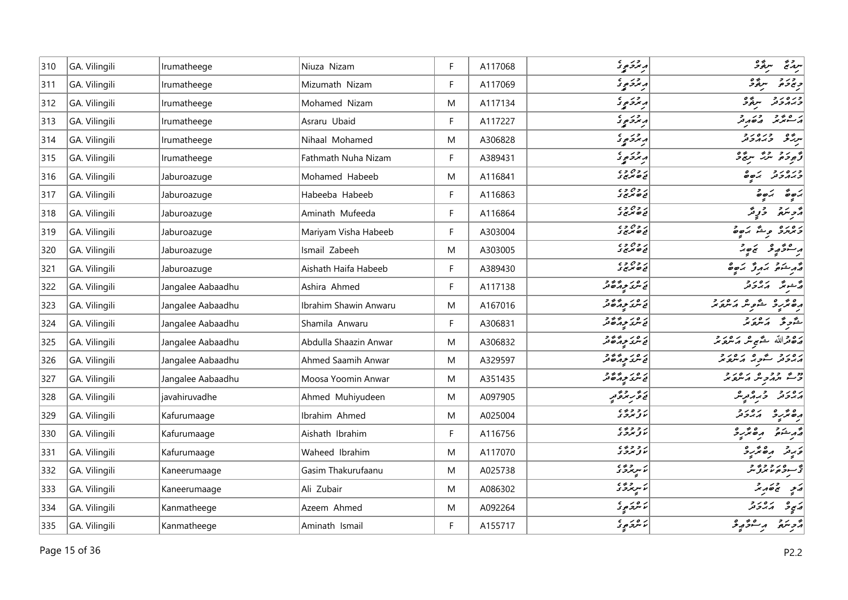| 310 | GA. Vilingili | Irumatheege       | Niuza Nizam           | F  | A117068 | ېر تر دې<br>رسمرد خو            | سوچينچ<br> -<br>سرچوگر                                   |
|-----|---------------|-------------------|-----------------------|----|---------|---------------------------------|----------------------------------------------------------|
| 311 | GA. Vilingili | Irumatheege       | Mizumath Nizam        | F  | A117069 | ېر بر دې<br>بر برد مړي          | د در د<br>د مي تر مي<br>سۇر                              |
| 312 | GA. Vilingili | Irumatheege       | Mohamed Nizam         | M  | A117134 | ېر بر دې<br>رسمرد مړي           | و رە ر د<br><i>د بر</i> گەر<br>سرچو                      |
| 313 | GA. Vilingili | Irumatheege       | Asraru Ubaid          | F. | A117227 | ېر بر دې<br>ر                   | د ر در<br>مرگه در<br>ىر 2 ئىرىر<br>مەسىرىيە              |
| 314 | GA. Vilingili | Irumatheege       | Nihaal Mohamed        | M  | A306828 | ېر بر دې<br>بر بر دې            | و ره ر د<br>تر پروتر<br>سربر محر                         |
| 315 | GA. Vilingili | Irumatheege       | Fathmath Nuha Nizam   | F  | A389431 | ېر بر دې<br>بر بر د نو          | أو برو ويستر سرة و                                       |
| 316 | GA. Vilingili | Jaburoazuge       | Mohamed Habeeb        | M  | A116841 | ر و ه و ء<br>اقع ځم پر          | 2012 - 2017<br>2013 - 2019                               |
| 317 | GA. Vilingili | Jaburoazuge       | Habeeba Habeeb        | F  | A116863 | ر و 0 و ء<br>قع ن مربع ک        | $\frac{3}{2}$ $\frac{3}{2}$ $\frac{3}{2}$                |
| 318 | GA. Vilingili | Jaburoazuge       | Aminath Mufeeda       | F. | A116864 | پر وج و ۽<br>  جي جي پر         | ړٌ پر په دوړ پر                                          |
| 319 | GA. Vilingili | Jaburoazuge       | Mariyam Visha Habeeb  | F  | A303004 | ر و 0 و ء<br>قع ن مربع ک        | ومرو وڅ نه ه                                             |
| 320 | GA. Vilingili | Jaburoazuge       | Ismail Zabeeh         | M  | A303005 | پر و م و ء<br>  فع حريج ي       | ر شرقه قوم موسى                                          |
| 321 | GA. Vilingili | Jaburoazuge       | Aishath Haifa Habeeb  | F. | A389430 | ر و 0 و ء<br>قع ن مربع ک        | أأرشني بكرز بكوه                                         |
| 322 | GA. Vilingili | Jangalee Aabaadhu | Ashira Ahmed          | F. | A117138 | ئے مرند کو پڑھ تر               | وكسور ورود                                               |
| 323 | GA. Vilingili | Jangalee Aabaadhu | Ibrahim Shawin Anwaru | M  | A167016 | پر ۱۵ پر ۱۶ دیگر                | رەم ئېرو ئىمولىر مەرەر                                   |
| 324 | GA. Vilingili | Jangalee Aabaadhu | Shamila Anwaru        | F  | A306831 | پر ۱۵ پر پژھ <sup>ی</sup> تر    | أنشوقر الاستعامر                                         |
| 325 | GA. Vilingili | Jangalee Aabaadhu | Abdulla Shaazin Anwar | M  | A306832 | پر ۱۵ پر پژھ <sup>ی</sup> تر    | برە داللە ھۇم ھە برە بر د                                |
| 326 | GA. Vilingili | Jangalee Aabaadhu | Ahmed Saamih Anwar    | M  | A329597 | ئے مرند کو پڑھ تر               | رەر د گرور مەرد                                          |
| 327 | GA. Vilingili | Jangalee Aabaadhu | Moosa Yoomin Anwar    | M  | A351435 | ئے مر <sub>کم</sub> کو پر تھ تر | מגי בכגי הייני ב                                         |
| 328 | GA. Vilingili | javahiruvadhe     | Ahmed Muhiyudeen      | M  | A097905 | ئے قریر ترقم پر                 | ورود وبروره                                              |
| 329 | GA. Vilingili | Kafurumaage       | Ibrahim Ahmed         | M  | A025004 | ر د د » ،<br>ما تو برو د        | بر 2 پر 15<br>مربر <del>5</del> تر<br>ەر ھەترىر <i>ۋ</i> |
| 330 | GA. Vilingili | Kafurumaage       | Aishath Ibrahim       | F  | A116756 | ر د د د ،<br>ما تو برتر د       | پ <sup>و</sup> پر شوې<br>ڔۿؠٞڔۯ                          |
| 331 | GA. Vilingili | Kafurumaage       | Waheed Ibrahim        | M  | A117070 | ر د د ه ،<br>ما تو بورگ         | وَبِينْ مِعْتَرِيْ                                       |
| 332 | GA. Vilingili | Kaneerumaage      | Gasim Thakurufaanu    | M  | A025738 | ر سرچري<br>موسرچري              | و سره د بر د و و بر<br>تو سره د بر بر تر                 |
| 333 | GA. Vilingili | Kaneerumaage      | Ali Zubair            | M  | A086302 | ىز سرچرى<br>م                   | 3,62,76                                                  |
| 334 | GA. Vilingili | Kanmatheege       | Azeem Ahmed           | M  | A092264 | ئەنگە ئەمو ئە                   | ەسىي ۋ<br>پره پر و                                       |
| 335 | GA. Vilingili | Kanmatheege       | Aminath Ismail        | F  | A155717 | بزېږې د                         | مزوسمة الاسترقية                                         |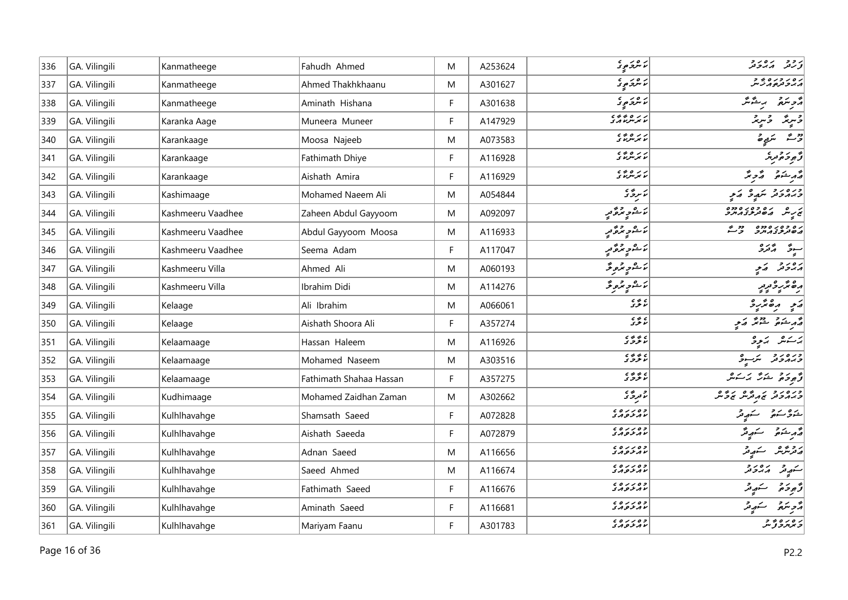| 336 | GA. Vilingili | Kanmatheege       | Fahudh Ahmed            | M  | A253624 | ر ه ر<br>پاسر <sub>د مو</sub> ر                                                                                                                                                                                                 | وروو برورو                              |
|-----|---------------|-------------------|-------------------------|----|---------|---------------------------------------------------------------------------------------------------------------------------------------------------------------------------------------------------------------------------------|-----------------------------------------|
| 337 | GA. Vilingili | Kanmatheege       | Ahmed Thakhkhaanu       | M  | A301627 | ر ه ر<br>پاسر <sub>چرمج</sub> و                                                                                                                                                                                                 | ر ە ر د ر ە بى د<br>مەر تەمەم ئىس       |
| 338 | GA. Vilingili | Kanmatheege       | Aminath Hishana         | F. | A301638 | لأمثر خرمونه                                                                                                                                                                                                                    | ۇ ئەسكە ئەستەتگە                        |
| 339 | GA. Vilingili | Karanka Aage      | Muneera Muneer          | F. | A147929 | ر ر ه د د »<br>ر پرس                                                                                                                                                                                                            | د مهر<br>د پر<br>خسر پژ                 |
| 340 | GA. Vilingili | Karankaage        | Moosa Najeeb            | M  | A073583 | ر ره و د ،<br>ما <del>ب</del> رمبر <i>دا</i> د                                                                                                                                                                                  | وو محمد سرقي ه                          |
| 341 | GA. Vilingili | Karankaage        | Fathimath Dhiye         | F  | A116928 | ر ر ه و د ،<br>ما بر سرد د                                                                                                                                                                                                      | ۇ بو ئەقرىر<br>ئ                        |
| 342 | GA. Vilingili | Karankaage        | Aishath Amira           | F  | A116929 | ر ر ه و د ،<br>ما بر سرد د                                                                                                                                                                                                      | ومدينة ومحرم                            |
| 343 | GA. Vilingili | Kashimaage        | Mohamed Naeem Ali       | M  | A054844 | ر<br>مأسرچۍ                                                                                                                                                                                                                     | כנסנב תוכ הב                            |
| 344 | GA. Vilingili | Kashmeeru Vaadhee | Zaheen Abdul Gayyoom    | M  | A092097 | ئەشقىر برۇ تېر                                                                                                                                                                                                                  | د ره ده ده ده ده<br>پارس مان در در      |
| 345 | GA. Vilingili | Kashmeeru Vaadhee | Abdul Gayyoom Moosa     | M  | A116933 | ئەشقىر ترەڭ بىر                                                                                                                                                                                                                 | ر ٥ ٥ ٥ ٥ ٥ ٠٥<br>۵ ت تر پر تر بر تر    |
| 346 | GA. Vilingili | Kashmeeru Vaadhee | Seema Adam              | F. | A117047 | ر کے مورکو مورکز کے مقدم کے انداز کے مقدم کے انداز کے مقدم کے مقدم کے مقدم کے مقدم کے مقدم کے مقدم کے مقدم کے<br>مقدم کے مقدم کے مقدم کے مقدم کے مقدم کے مقدم کے مقدم کے مقدم کے مقدم کے مقدم کے مقدم کے مقدم کے مقدم کے مقدم ک | سېۋە ئەترو                              |
| 347 | GA. Vilingili | Kashmeeru Villa   | Ahmed Ali               | M  | A060193 | ئەش <sub>ى</sub> ر چر <sub>ىر</sub> ئۇ                                                                                                                                                                                          | أرەر دىپ                                |
| 348 | GA. Vilingili | Kashmeeru Villa   | Ibrahim Didi            | M  | A114276 | ئەش <sub>ى</sub> ر چر <sub>ىر</sub> ئۇ                                                                                                                                                                                          | ېر ه ټر په <sup>9</sup> ور پر<br>ر      |
| 349 | GA. Vilingili | Kelaage           | Ali Ibrahim             | M  | A066061 | ى بەي<br>ما مۇي                                                                                                                                                                                                                 | ړې رهټرېږ                               |
| 350 | GA. Vilingili | Kelaage           | Aishath Shoora Ali      | F  | A357274 | ى بو ،<br>ما مۇ ي                                                                                                                                                                                                               | أقهر شوقه فشتمر وكمح                    |
| 351 | GA. Vilingili | Kelaamaage        | Hassan Haleem           | M  | A116926 | ، پیچ ۽<br>ما مُرَّدَ ي                                                                                                                                                                                                         | يَرْسَوْهِ لِمَ يَرْجُوهِ               |
| 352 | GA. Vilingili | Kelaamaage        | Mohamed Naseem          | M  | A303516 | ى ئەم ئ<br>ما مۇرى                                                                                                                                                                                                              | ورەرو شرىدۇ                             |
| 353 | GA. Vilingili | Kelaamaage        | Fathimath Shahaa Hassan | F. | A357275 | ، پیچ ۽<br>ما مگر تر <sub>ک</sub>                                                                                                                                                                                               | ۇۋە ئۇي ئەسەر                           |
| 354 | GA. Vilingili | Kudhimaage        | Mohamed Zaidhan Zaman   | M  | A302662 | د مرچ ی                                                                                                                                                                                                                         | ورەرو پروگرىگە بەلەر                    |
| 355 | GA. Vilingili | Kulhlhavahge      | Shamsath Saeed          | F  | A072828 | وه ر ر ه ،<br>ما پر نوار د                                                                                                                                                                                                      | شكاف سكر المحرور المحمد المحمد المتراكض |
| 356 | GA. Vilingili | Kulhlhavahge      | Aishath Saeeda          | F  | A072879 | وه ر ر ه ،<br>ماړ نوار د                                                                                                                                                                                                        | لأرشكم كركر                             |
| 357 | GA. Vilingili | Kulhlhavahge      | Adnan Saeed             | M  | A116656 | وه ر ر ه ،<br>ما پر نوار د                                                                                                                                                                                                      | پروژنگر کے مقابل                        |
| 358 | GA. Vilingili | Kulhlhavahge      | Saeed Ahmed             | M  | A116674 | وه ر ر ه ،<br>ما پر نوار د                                                                                                                                                                                                      | سَمدٍ مَدْ مَدَّ وَ مَدْ                |
| 359 | GA. Vilingili | Kulhlhavahge      | Fathimath Saeed         | F  | A116676 | وه ر ر ه ،<br>ما پر نوار د                                                                                                                                                                                                      | وً و د و سکوپه                          |
| 360 | GA. Vilingili | Kulhlhavahge      | Aminath Saeed           | F. | A116681 | وه ر ر ه ،<br>ما پر نوار د                                                                                                                                                                                                      | أثر وبترة<br>سەمەتر                     |
| 361 | GA. Vilingili | Kulhlhavahge      | Mariyam Faanu           | F  | A301783 | و ە ر ر ە ،<br>مەمرىمە د                                                                                                                                                                                                        | ر ه ر ه و و<br><del>د</del> بر برو تو س |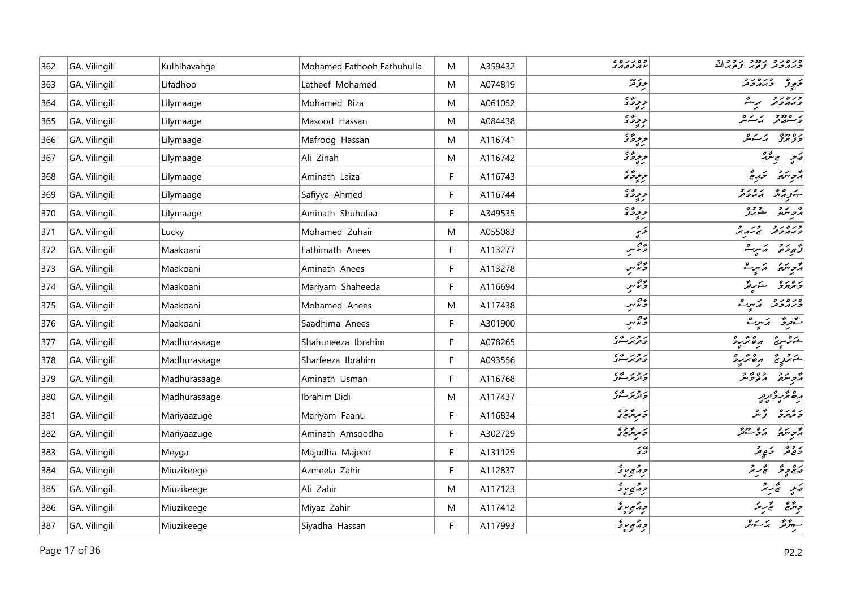| 362 | GA. Vilingili | Kulhlhavahge | Mohamed Fathooh Fathuhulla | M  | A359432 | و ه ر ر ه ی<br>  ما پر عربر ی             | وره رو ردوو بروح الله<br><i>وبرم</i> حد وحد وحي الله |
|-----|---------------|--------------|----------------------------|----|---------|-------------------------------------------|------------------------------------------------------|
| 363 | GA. Vilingili | Lifadhoo     | Latheef Mohamed            | M  | A074819 | وتوتر                                     | و رە ر د<br><i>د بە</i> پەر<br>  تۇ چوڭر             |
| 364 | GA. Vilingili | Lilymaage    | Mohamed Riza               | M  | A061052 | <br>  و و د د                             | وره رو برگ                                           |
| 365 | GA. Vilingili | Lilymaage    | Masood Hassan              | M  | A084438 | ووڈ ء<br>ر                                | ىر قەدەر بەسكەش                                      |
| 366 | GA. Vilingili | Lilymaage    | Mafroog Hassan             | M  | A116741 | ووڈء                                      | رەددە برىدۇ.                                         |
| 367 | GA. Vilingili | Lilymaage    | Ali Zinah                  | M  | A116742 | ووڈ ء<br>ر                                | أوسمح يتمده                                          |
| 368 | GA. Vilingili | Lilymaage    | Aminath Laiza              | F  | A116743 | ووڈء                                      |                                                      |
| 369 | GA. Vilingili | Lilymaage    | Safiyya Ahmed              | F  | A116744 | ووڈ ء<br>ر                                | התנהל הפני                                           |
| 370 | GA. Vilingili | Lilymaage    | Aminath Shuhufaa           | F. | A349535 | ووژگ<br>رو                                | ړې سره ده د در                                       |
| 371 | GA. Vilingili | Lucky        | Mohamed Zuhair             | M  | A055083 | لتحيي                                     | ورەرو ور                                             |
| 372 | GA. Vilingili | Maakoani     | Fathimath Anees            | F. | A113277 | اقتقاسه                                   | ۇپ <sub>و</sub> رۇ مەرب                              |
| 373 | GA. Vilingili | Maakoani     | Aminath Anees              | F  | A113278 | اقتقاسه                                   | ومحر يتمتحه<br>ړ سر په                               |
| 374 | GA. Vilingili | Maakoani     | Mariyam Shaheeda           | F  | A116694 | و مهمبر<br>حرما سر                        | ر ه بر ه<br>تر <del>ب</del> ر بر ژ<br>شترىر قر       |
| 375 | GA. Vilingili | Maakoani     | Mohamed Anees              | M  | A117438 | و مړينه<br>ح                              | ورەرو كەرگ                                           |
| 376 | GA. Vilingili | Maakoani     | Saadhima Anees             | F  | A301900 | و مړينې<br>م                              | گورڈ کاسرے                                           |
| 377 | GA. Vilingili | Madhurasaage | Shahuneeza Ibrahim         | F  | A078265 | ر و ر په ،<br><del>و</del> تر <i>پر</i> ک | ے گر سرچ<br>م<br>ەرھ ئ <sup>ۆ</sup> ر ۋ              |
| 378 | GA. Vilingili | Madhurasaage | Sharfeeza Ibrahim          | F. | A093556 | ر و پر په <sup>پ</sup>                    | شەمرى <sub>ر</sub> بۇ<br>5/500                       |
| 379 | GA. Vilingili | Madhurasaage | Aminath Usman              | F  | A116768 | ر و ر په ،<br><del>و</del> تر <i>پر</i> ک | ړې سره<br>چە ئە ئەر<br>مەنبۇ <i>ج</i> ىتىر           |
| 380 | GA. Vilingili | Madhurasaage | Ibrahim Didi               | M  | A117437 | ر و ر په و<br>  <del>ر</del> تعريب د      | ىر ھەتگەر 2 توپىر<br>س                               |
| 381 | GA. Vilingili | Mariyaazuge  | Mariyam Faanu              | F  | A116834 | ئەسپەرىي<br>  ئەسپەرىي                    | رەرە ئەر                                             |
| 382 | GA. Vilingili | Mariyaazuge  | Aminath Amsoodha           | F  | A302729 | ر به ده.<br>د بر پرې                      | ה ביום בכי הפ                                        |
| 383 | GA. Vilingili | Meyga        | Majudha Majeed             | F  | A131129 | تزئر                                      | د و پژگر کام تو تر                                   |
| 384 | GA. Vilingili | Miuzikeege   | Azmeela Zahir              | F  | A112837 | حەرىم بور؟<br>م                           | ړ ه چې ځې چې چې په چې په ک                           |
| 385 | GA. Vilingili | Miuzikeege   | Ali Zahir                  | M  | A117123 | د د مي بو د<br>مرگور د                    | $\frac{2}{3}$                                        |
| 386 | GA. Vilingili | Miuzikeege   | Miyaz Zahir                | M  | A117412 | دېږېږ <sup>ي</sup><br>د مړي               | $\frac{2}{3}$                                        |
| 387 | GA. Vilingili | Miuzikeege   | Siyadha Hassan             | F  | A117993 | حەدثى بىرى<br>ب                           | سەرگە كەسكەش                                         |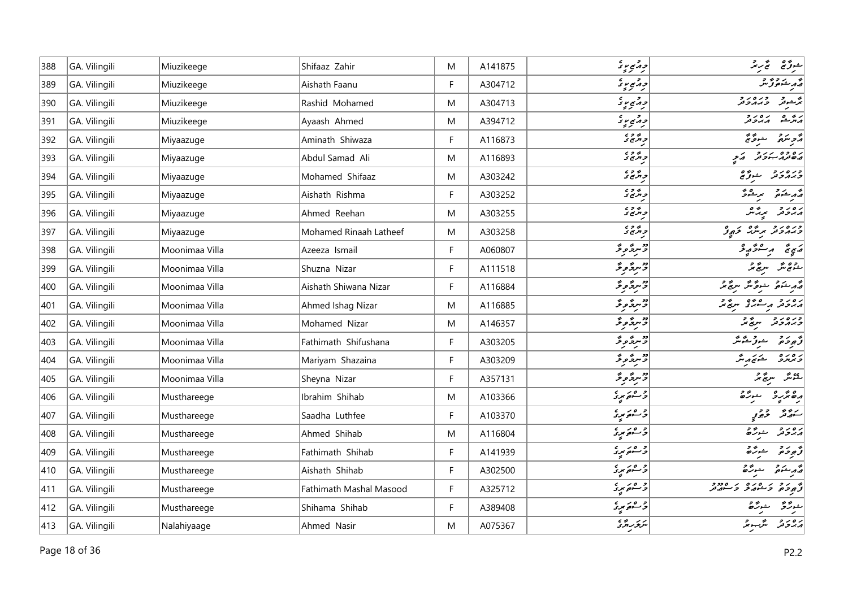| 388 | GA. Vilingili | Miuzikeege     | Shifaaz Zahir           | M  | A141875 | وړېږي<br>ر                            | پچ سر بخر<br>مخ<br>  شورج<br>                     |
|-----|---------------|----------------|-------------------------|----|---------|---------------------------------------|---------------------------------------------------|
| 389 | GA. Vilingili | Miuzikeege     | Aishath Faanu           | F. | A304712 | و د ځمونو <sup>ځ</sup>                | ۇ بەيدە ئەرەپىتى<br>مەبرىشى <i>مۇ</i> ئەس         |
| 390 | GA. Vilingili | Miuzikeege     | Rashid Mohamed          | M  | A304713 | حەر تىم بورى<br>س                     | و ره ر و<br><i>د ب</i> رگرفر<br>مگرىشونى <i>گ</i> |
| 391 | GA. Vilingili | Miuzikeege     | Ayaash Ahmed            | M  | A394712 | حەدثى بىرى<br>بىر                     | ىر پۇرىيە<br>مەنزىسىتىر<br>بر 2 پر 5<br>درگر قر   |
| 392 | GA. Vilingili | Miyaazuge      | Aminath Shiwaza         | F  | A116873 | د په د ،<br>د ترې                     | ومحر مترقبة المستوقفة                             |
| 393 | GA. Vilingili | Miyaazuge      | Abdul Samad Ali         | M  | A116893 | د پر د ،<br>د تر پر د                 | גם כם גגב ביב                                     |
| 394 | GA. Vilingili | Miyaazuge      | Mohamed Shifaaz         | M  | A303242 | د پر د ،<br>د پر پر د                 | ورەرو شوۋى                                        |
| 395 | GA. Vilingili | Miyaazuge      | Aishath Rishma          | F  | A303252 | د پر د ،<br>د تر پنې د                | أقهر شدة المرتشوق                                 |
| 396 | GA. Vilingili | Miyaazuge      | Ahmed Reehan            | M  | A303255 | د پر د ،<br>د پر پر د                 | رەرو برگە                                         |
| 397 | GA. Vilingili | Miyaazuge      | Mohamed Rinaah Latheef  | M  | A303258 | د پر د ،<br>د تر پنې د                | ورەرو برىگە ئەرگ                                  |
| 398 | GA. Vilingili | Moonimaa Villa | Azeeza Ismail           | F. | A060807 | ق <sup>ە</sup> سرىڭ <i>ھە</i> ڭە      | لەي ئەستۇر                                        |
| 399 | GA. Vilingili | Moonimaa Villa | Shuzna Nizar            | F. | A111518 | دە سرگ <sup>ى</sup> بەرگە<br>مەسرگە ب | شەھ شەھرىرى ئىس                                   |
| 400 | GA. Vilingili | Moonimaa Villa | Aishath Shiwana Nizar   | F  | A116884 | د <sup>ه</sup> سرد گورځه              | و<br>در شور شور شر سرچ مر                         |
| 401 | GA. Vilingili | Moonimaa Villa | Ahmed Ishag Nizar       | M  | A116885 | د <sup>ه</sup> سرد گورځه              | גפנק גם הייתור תואת                               |
| 402 | GA. Vilingili | Moonimaa Villa | Mohamed Nizar           | M  | A146357 | در<br>د سرد گورځه                     | כממכנג יישיל                                      |
| 403 | GA. Vilingili | Moonimaa Villa | Fathimath Shifushana    | F  | A303205 | دو سرځ و ځه<br>تر سرځ و ځه            | ۇي <sub>ۇ</sub> رۇ سۆزىقەتر                       |
| 404 | GA. Vilingili | Moonimaa Villa | Mariyam Shazaina        | F  | A303209 | وحسر محر محر                          | رەرە شىئەر                                        |
| 405 | GA. Vilingili | Moonimaa Villa | Sheyna Nizar            | F. | A357131 | وحسر محر محر                          | يديگر سر <i>يج پر</i>                             |
| 406 | GA. Vilingili | Musthareege    | Ibrahim Shihab          | M  | A103366 | اتر صور<br> تر سهونمبرد               | ە ھەترىرى<br>رەھىرىرى<br>شەرگەنچ                  |
| 407 | GA. Vilingili | Musthareege    | Saadha Luthfee          | F  | A103370 | د صمر سر<br>د سکوړنو                  | أَسْتَهُمْ الْمُرْجَوْرِ                          |
| 408 | GA. Vilingili | Musthareege    | Ahmed Shihab            | M  | A116804 | د همه بر <sub>ی</sub>                 | ره رو شوره<br>مهرونس شوره                         |
| 409 | GA. Vilingili | Musthareege    | Fathimath Shihab        | F  | A141939 | د هم پرې<br>د سوړس                    | ژوده خرژه                                         |
| 410 | GA. Vilingili | Musthareege    | Aishath Shihab          | F  | A302500 | د همه بر <sub>ی</sub>                 | وگهرڪو ڪوٽر <i>ه</i><br>وگهرڪو ڪر                 |
| 411 | GA. Vilingili | Musthareege    | Fathimath Mashal Masood | F  | A325712 | و ص <sub>ور س</sub> ور<br>مرگ موس     | و د و د مره د مره د و                             |
| 412 | GA. Vilingili | Musthareege    | Shihama Shihab          | F. | A389408 | د هم پرې<br>د سوړس                    | شو <i>رد و شورده</i><br>مر                        |
| 413 | GA. Vilingili | Nalahiyaage    | Ahmed Nasir             | M  | A075367 | ا پرنې به ده په                       | رەرد شەرد<br>مەردىر شەر                           |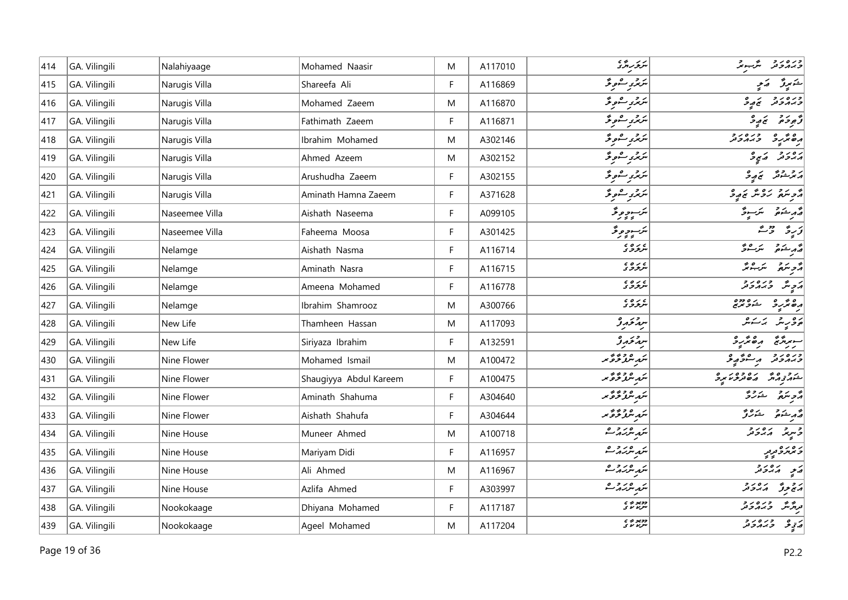| 414 | GA. Vilingili | Nalahiyaage    | Mohamed Naasir         | M         | A117010 | ىر ئەرەرى<br>سرى <i>خ بە</i> رى                  | ورەرو شەر                                                                                                                                                                                                                           |
|-----|---------------|----------------|------------------------|-----------|---------|--------------------------------------------------|-------------------------------------------------------------------------------------------------------------------------------------------------------------------------------------------------------------------------------------|
| 415 | GA. Vilingili | Narugis Villa  | Shareefa Ali           | F         | A116869 | ىئرىز <sub>ىر</sub> سى <sub>مو</sub> مۇ          | خنيرتى الأمي                                                                                                                                                                                                                        |
| 416 | GA. Vilingili | Narugis Villa  | Mohamed Zaeem          | M         | A116870 | <br>   سر پر <sub>پر م</sub> ص <sub>ورت</sub> حر | Croic 7012                                                                                                                                                                                                                          |
| 417 | GA. Vilingili | Narugis Villa  | Fathimath Zaeem        | F         | A116871 | ىئرىمزىر مشوقر                                   | وٌمِوَدَهُ بَمَهِ وُ                                                                                                                                                                                                                |
| 418 | GA. Vilingili | Narugis Villa  | Ibrahim Mohamed        | ${\sf M}$ | A302146 | ىئر <i>پرېمو س</i> ىھ پەنتى                      | و رە ر د<br>تر پر تر تر<br>ە ھەترىر <sup>ى</sup><br>بر ھەترىرى                                                                                                                                                                      |
| 419 | GA. Vilingili | Narugis Villa  | Ahmed Azeem            | M         | A302152 | ىئرىز <sub>ىر</sub> سى <sub>مو</sub> مۇ          | גפגב בשב                                                                                                                                                                                                                            |
| 420 | GA. Vilingili | Narugis Villa  | Arushudha Zaeem        | F         | A302155 | ىئرىزىر سىفرىتى                                  | أروحية كمرو                                                                                                                                                                                                                         |
| 421 | GA. Vilingili | Narugis Villa  | Aminath Hamna Zaeem    | F         | A371628 | ىئر <i>پرېمو سىمو</i> ئ <sup>ۇ</sup>             | أأوسكم كروش تمدو                                                                                                                                                                                                                    |
| 422 | GA. Vilingili | Naseemee Villa | Aishath Naseema        | F         | A099105 | ىئرسوچە بۇ<br>ئىستىقىنىڭ                         | و مرسم من من المرسم المرسم المرسم المرسم المرسم المرسم المرسم المرسم المرسم المرسم المرسم المرسم المرسم المرس<br>المرسم المرسم المرسم المرسم المرسم المرسم المرسم المرسم المرسم المرسم المرسم المرسم المرسم المرسم المرسم المرس<br> |
| 423 | GA. Vilingili | Naseemee Villa | Faheema Moosa          | F         | A301425 | ىئرسوچە بۇ                                       | ۇرۇ ۋى                                                                                                                                                                                                                              |
| 424 | GA. Vilingili | Nelamge        | Aishath Nasma          | F         | A116714 | ے رے ے<br>سربوتر <sub>ک</sub>                    | ۇرىشۇ سىر ق                                                                                                                                                                                                                         |
| 425 | GA. Vilingili | Nelamge        | Aminath Nasra          | F         | A116715 | ړ ر ه ،<br>سربونو د                              | ۇ ئەسكە ئىسكە                                                                                                                                                                                                                       |
| 426 | GA. Vilingili | Nelamge        | Ameena Mohamed         | F         | A116778 | ه ره ه<br>سربو د                                 | ړې دره در                                                                                                                                                                                                                           |
| 427 | GA. Vilingili | Nelamge        | Ibrahim Shamrooz       | ${\sf M}$ | A300766 | ے رے ے<br>سربربر <sub>ک</sub>                    | ەرھ ئ <sup>ۆ</sup> ر ۋ<br>پر و دو ه<br>شو د مربع                                                                                                                                                                                    |
| 428 | GA. Vilingili | New Life       | Thamheen Hassan        | ${\sf M}$ | A117093 | سرمز ځرمر ژ                                      | ۇۋېرىتى بەسكىتى                                                                                                                                                                                                                     |
| 429 | GA. Vilingili | New Life       | Siriyaza Ibrahim       | F         | A132591 | سرمز خرمر و                                      | سبرونج وهندو                                                                                                                                                                                                                        |
| 430 | GA. Vilingili | Nine Flower    | Mohamed Ismail         | M         | A100472 | ﯩﻜﯧﺮ ﻣﯘﯞ ﻗﯩ                                      | ورەرو بەسۇرگ                                                                                                                                                                                                                        |
| 431 | GA. Vilingili | Nine Flower    | Shaugiyya Abdul Kareem | F         | A100475 | سَمِهِ سْمَدْ خَرَقَهُ سَهِ                      | دروه در ره وور ره<br>شور در مان مورد بود                                                                                                                                                                                            |
| 432 | GA. Vilingili | Nine Flower    | Aminath Shahuma        | F         | A304640 | سَمَدِ عَنْدَ قَرْحَ مَد                         | أزويتهم الحارثة                                                                                                                                                                                                                     |
| 433 | GA. Vilingili | Nine Flower    | Aishath Shahufa        | F         | A304644 | سَمِهِ عَرْفَرْقَرَمَهِ                          | وكرمشكم الشورو                                                                                                                                                                                                                      |
| 434 | GA. Vilingili | Nine House     | Muneer Ahmed           | M         | A100718 | التدره بروح                                      | و پر پر درو<br>د پر                                                                                                                                                                                                                 |
| 435 | GA. Vilingili | Nine House     | Mariyam Didi           | F         | A116957 | سَمب <i>ر شرکہ ج</i> ے                           | <br>  تر چربر 3 در در                                                                                                                                                                                                               |
| 436 | GA. Vilingili | Nine House     | Ali Ahmed              | M         | A116967 | ىئەر بىر <i>ى</i> ر ئە                           | أقدم بره رو                                                                                                                                                                                                                         |
| 437 | GA. Vilingili | Nine House     | Azlifa Ahmed           | F         | A303997 | ىئىدىش <i>رىز</i> مە                             | أرج ووٌ أرور و                                                                                                                                                                                                                      |
| 438 | GA. Vilingili | Nookokaage     | Dhiyana Mohamed        | F         | A117187 | دوپر در د<br>سربر بر د                           | وره دره دره د                                                                                                                                                                                                                       |
| 439 | GA. Vilingili | Nookokaage     | Ageel Mohamed          | ${\sf M}$ | A117204 | وويو پر پر<br>سربر بر <sub>م</sub>               | أرتوعي ورودرة                                                                                                                                                                                                                       |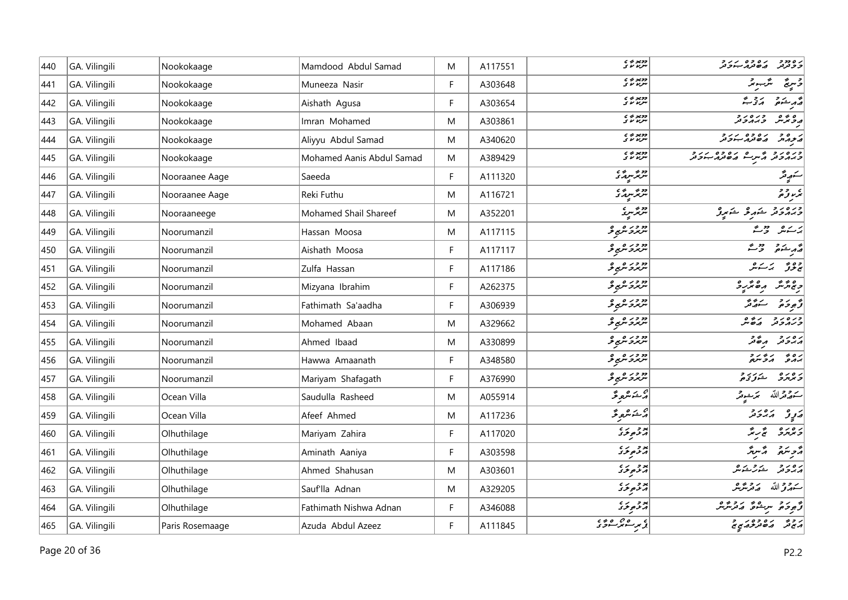| 440 | GA. Vilingili | Nookokaage      | Mamdood Abdul Samad       | M | A117551 | وویر ہے ی<br>سربر نر <sub>ک</sub>          |                                                                                                      |
|-----|---------------|-----------------|---------------------------|---|---------|--------------------------------------------|------------------------------------------------------------------------------------------------------|
| 441 | GA. Vilingili | Nookokaage      | Muneeza Nasir             | F | A303648 | وویو پر پر<br>سربر رکھ                     | ىئرىبەير<br>ر مسرچ<br>اخ                                                                             |
| 442 | GA. Vilingili | Nookokaage      | Aishath Agusa             | F | A303654 | وویر ہے ی<br>سربر نر <sub>ک</sub>          | مەر شىم كىلى ئىگە                                                                                    |
| 443 | GA. Vilingili | Nookokaage      | Imran Mohamed             | M | A303861 | وویر پر ہ<br>سربر بر <sub>ک</sub>          | و ره ر و<br><i>و پر</i> و تر<br>ەر ئە ئەر                                                            |
| 444 | GA. Vilingili | Nookokaage      | Aliyyu Abdul Samad        | M | A340620 | وویر پر ہ<br>سربر بر <sub>ک</sub>          | ג 2000 גם 2000<br>הצהרה הסנג-הכנג                                                                    |
| 445 | GA. Vilingili | Nookokaage      | Mohamed Aanis Abdul Samad | M | A389429 | وویر ہے ی<br>سربر نر <sub>ک</sub>          | ورەر د په سر مدده در د<br>د بربرونر برس مه مه تربر جوړنر                                             |
| 446 | GA. Vilingili | Nooraanee Aage  | Saeeda                    | F | A111320 | دو په په<br>سرپرسرد د                      | سەمەقر                                                                                               |
| 447 | GA. Vilingili | Nooraanee Aage  | Reki Futhu                | M | A116721 | دور په ده<br>سرپرسرد د                     | ې په د د<br>تر پېړنو ه                                                                               |
| 448 | GA. Vilingili | Nooraaneege     | Mohamed Shail Shareef     | M | A352201 | دوره برد.<br>مرتكز بريد                    | ورەر د خىم بۇ خىم بۇ                                                                                 |
| 449 | GA. Vilingili | Noorumanzil     | Hassan Moosa              | M | A117115 | ير پر بر عربي بحر                          | برُسكان وَرْسَةُ                                                                                     |
| 450 | GA. Vilingili | Noorumanzil     | Aishath Moosa             | F | A117117 | دد د بر ه<br>سرپر د سرې څر                 | و مرڪبو ويند                                                                                         |
| 451 | GA. Vilingili | Noorumanzil     | Zulfa Hassan              | F | A117186 | دد در ه<br>سرپرد سر <sub>ی</sub> بر        | چۇق ئەسكەنگە                                                                                         |
| 452 | GA. Vilingili | Noorumanzil     | Mizyana Ibrahim           | F | A262375 | دد در ه پرې<br>سربر د سر <sub>ب</sub> ې تر | ا په پېژنېژ<br>تر جمهور منگ<br>ەھ تررۈ                                                               |
| 453 | GA. Vilingili | Noorumanzil     | Fathimath Sa'aadha        | F | A306939 | يزچرى مرىي بحر                             | ه د د ده و.<br>ژبوده سوړنگر                                                                          |
| 454 | GA. Vilingili | Noorumanzil     | Mohamed Abaan             | M | A329662 | دو در ه مربع گر                            | ورەرو رەھر                                                                                           |
| 455 | GA. Vilingili | Noorumanzil     | Ahmed Ibaad               | M | A330899 | يز بر بر عربي بحر                          | גם ג 2 בייריק<br>הגב בני השב                                                                         |
| 456 | GA. Vilingili | Noorumanzil     | Hawwa Amaanath            | F | A348580 | دد در ه پرې<br>سربر د سر <sub>ب</sub> ې تر |                                                                                                      |
| 457 | GA. Vilingili | Noorumanzil     | Mariyam Shafagath         | F | A376990 | دد در ه<br>سرپرد سر <sub>ی</sub> بر        | ر ه ر ه<br><del>ر</del> بربرگ<br>شەكى تۈر <i>ە</i>                                                   |
| 458 | GA. Vilingili | Ocean Villa     | Saudulla Rasheed          | M | A055914 | ە ئەنە ئى <sub>رىم</sub> ۇ                 | كرة قرالله تمرجونر                                                                                   |
| 459 | GA. Vilingili | Ocean Villa     | Afeef Ahmed               | M | A117236 | ە ئەئەسرە ئە                               | پروژبر<br>ەزىر                                                                                       |
| 460 | GA. Vilingili | Olhuthilage     | Mariyam Zahira            | F | A117020 | بر و بر ۽<br>مرگو پونو پ                   | رەرە ئەر                                                                                             |
| 461 | GA. Vilingili | Olhuthilage     | Aminath Aaniya            | F | A303598 | بر د بر بر<br>مرگو بر د                    | أأدبتكم أأسبأ                                                                                        |
| 462 | GA. Vilingili | Olhuthilage     | Ahmed Shahusan            | M | A303601 | بر د بر بر<br>در نور تر د                  | رەرە بەرئىر                                                                                          |
| 463 | GA. Vilingili | Olhuthilage     | Sauf'lla Adnan            | M | A329205 | بر د بر بر<br>در نور در                    | سَمْرُوْ اللّه صَعْرَ مَثْرَ مِثْرَ مِثْرَ مِثْرَ مِثْرَ مِثْرَ مِثْرَ مِثْرَ مِثْرَ مِثْرَ مِثْرَ م |
| 464 | GA. Vilingili | Olhuthilage     | Fathimath Nishwa Adnan    | F | A346088 | بر و بر ر<br>مرگوری                        | و څو ځو سرشو که د ترسرس                                                                              |
| 465 | GA. Vilingili | Paris Rosemaage | Azuda Abdul Azeez         | F | A111845 | نې په ده ده ده دي.<br> د مرسومر سورې       | ر دی ده ده ر د                                                                                       |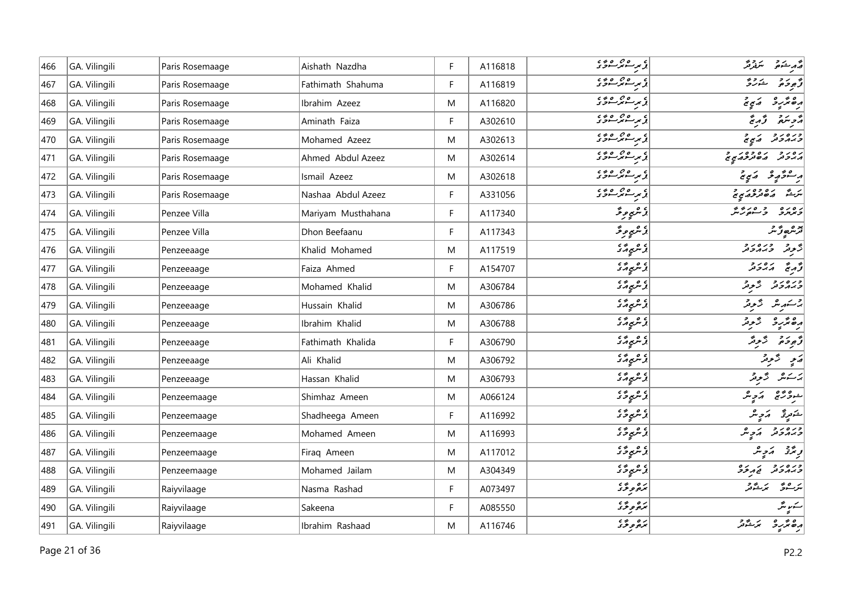| 466 | GA. Vilingili | Paris Rosemaage | Aishath Nazdha     | F. | A116818 | اء بر ے میں ے دی<br> تو بر سوبر سوری                        | أقهر مشوته المتفرقد                             |
|-----|---------------|-----------------|--------------------|----|---------|-------------------------------------------------------------|-------------------------------------------------|
| 467 | GA. Vilingili | Paris Rosemaage | Fathimath Shahuma  | F. | A116819 | ې پر ۵،۵ ۵ <sup>پ</sup> ه ۶                                 | و و د و در د                                    |
| 468 | GA. Vilingili | Paris Rosemaage | Ibrahim Azeez      | M  | A116820 | نې په موضوع دي.<br>افريد سندري                              | رەشرو كې                                        |
| 469 | GA. Vilingili | Paris Rosemaage | Aminath Faiza      | F. | A302610 | نې په ده چې د دې<br>د کار سونو ک                            | أثرمر منعج<br>تۇ مەنتج                          |
| 470 | GA. Vilingili | Paris Rosemaage | Mohamed Azeez      | M  | A302613 | ا دىر مەير مەيرى<br>  دىس مەير مەيرى                        | ورورو كهج                                       |
| 471 | GA. Vilingili | Paris Rosemaage | Ahmed Abdul Azeez  | M  | A302614 | م بر موجود موج <del>ء</del><br> پر سر سر سر حر <sub>ک</sub> | נפנד נפרסנץ ר                                   |
| 472 | GA. Vilingili | Paris Rosemaage | Ismail Azeez       | M  | A302618 | ې بر ۹۵ مر <sup>و پ</sup> ه                                 | بر شۇمۇ ھەم ئ                                   |
| 473 | GA. Vilingili | Paris Rosemaage | Nashaa Abdul Azeez | F  | A331056 | م پر صدر صد <sup>ر</sup> د                                  | ر ده ده ده در د<br>سرشو می مردم دی              |
| 474 | GA. Vilingili | Penzee Villa    | Mariyam Musthahana | F  | A117340 | دکریمویونژ                                                  | ره ره د ۱۵۷۵.<br><del>د</del> بربرد و سرگرس     |
| 475 | GA. Vilingili | Penzee Villa    | Dhon Beefaanu      | F. | A117343 | ۇ ئىرى پە ئە                                                | بر <sub>م</sub> ر <sub>ھو</sub> ڙ <sub>مر</sub> |
| 476 | GA. Vilingili | Penzeeaage      | Khalid Mohamed     | M  | A117519 | ې مر <sub>سم</sub> پر <sup>ي</sup>                          | ومحمد وره دو                                    |
| 477 | GA. Vilingili | Penzeeaage      | Faiza Ahmed        | F  | A154707 | ئۇيتى <sub>م</sub> ىيە ئەتمى                                | قرمريخ مدرور                                    |
| 478 | GA. Vilingili | Penzeeaage      | Mohamed Khalid     | M  | A306784 | ې مر <sub>سم</sub> پر ځ                                     | ورەرو ۋىرو                                      |
| 479 | GA. Vilingili | Penzeeaage      | Hussain Khalid     | M  | A306786 | ئۇنترىپە ئ <sup>ىرى</sup>                                   | يزخير شدا المجموش                               |
| 480 | GA. Vilingili | Penzeeaage      | Ibrahim Khalid     | M  | A306788 | ې مر <sub>سم</sub> پر <sup>ي</sup>                          | رە ئرىر ئىرىر                                   |
| 481 | GA. Vilingili | Penzeeaage      | Fathimath Khalida  | F. | A306790 | ئۇنترىپە ئ <sup>ىرى</sup>                                   | و مرد<br>ترجو می<br>رَ ٌ وترٌ                   |
| 482 | GA. Vilingili | Penzeeaage      | Ali Khalid         | M  | A306792 | ې مر <sub>سم</sub> پر <sup>ي</sup>                          | ړې رژونه                                        |
| 483 | GA. Vilingili | Penzeeaage      | Hassan Khalid      | M  | A306793 | ۇ ئىرىپە ئەتم                                               | يَرْسَمْسُ الرَّحْمَٰرُ                         |
| 484 | GA. Vilingili | Penzeemaage     | Shimhaz Ameen      | M  | A066124 | ئۇنترىپ <sub>و</sub> ترى                                    | شوۋر مىچ<br>م<br>مەجەنىتىر                      |
| 485 | GA. Vilingili | Penzeemaage     | Shadheega Ameen    | F  | A116992 | ئۇنترىپو ئ <sup>ى</sup> كە                                  | شكوركة كالمركب والمراجي                         |
| 486 | GA. Vilingili | Penzeemaage     | Mohamed Ameen      | M  | A116993 | ئۇنترىپو ئەتر                                               | ورەرو كەچىگ                                     |
| 487 | GA. Vilingili | Penzeemaage     | Firaq Ameen        | M  | A117012 | ې ش <sub>مې</sub> د <sup>د</sup>                            | ارِ پُرُ تَمَّ تَرَ پُرُ                        |
| 488 | GA. Vilingili | Penzeemaage     | Mohamed Jailam     | M  | A304349 | ې مربح ئ <sup>ې</sup> په                                    |                                                 |
| 489 | GA. Vilingili | Raiyvilaage     | Nasma Rashad       | F  | A073497 | ر ه<br>برگوموڅر                                             | <i>ﯩﺰﺩ</i> ﻩﯞ - ﻳﺰﯨﺸﯘﺭ                          |
| 490 | GA. Vilingili | Raiyvilaage     | Sakeena            | F. | A085550 | ر ه<br>بر <sub>گ</sub> ورځ د                                | سەَ بەشر                                        |
| 491 | GA. Vilingili | Raiyvilaage     | Ibrahim Rashaad    | M  | A116746 | برە و ڈی                                                    | ەھەردى ئەشەر                                    |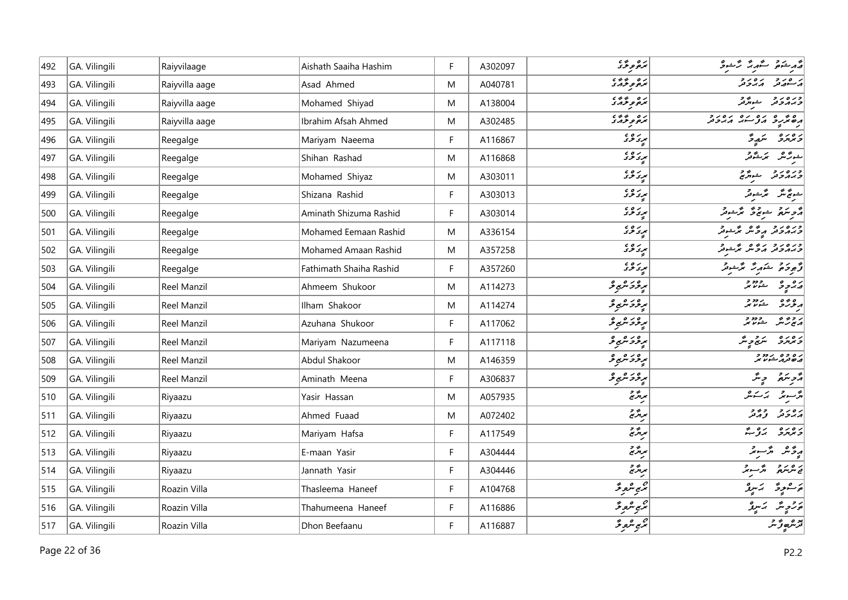| 492 | GA. Vilingili | Raiyvilaage        | Aishath Saaiha Hashim   | F         | A302097 | ئۇھۇمۇمۇمۇ                                   | ۇرمىنى سىرگە گىمىدۇ                            |
|-----|---------------|--------------------|-------------------------|-----------|---------|----------------------------------------------|------------------------------------------------|
| 493 | GA. Vilingili | Raiyvilla aage     | Asad Ahmed              | M         | A040781 | ره و پورځ<br>مر <sub>گو</sub> موړۍ           | د قرد ده دو                                    |
| 494 | GA. Vilingili | Raiyvilla aage     | Mohamed Shiyad          | ${\sf M}$ | A138004 | ره و ځه <sup>د</sup> ،                       | ور ٥ ر و<br>تربر پرتر د شویژنر                 |
| 495 | GA. Vilingili | Raiyvilla aage     | Ibrahim Afsah Ahmed     | M         | A302485 | ره و د د د .<br>برو و د د .                  | גם מים גם גם גם גדי                            |
| 496 | GA. Vilingili | Reegalge           | Mariyam Naeema          | F         | A116867 | ر و ه ء<br>پرتر مرد                          | و وره شهردً                                    |
| 497 | GA. Vilingili | Reegalge           | Shihan Rashad           | M         | A116868 | ىر ە دى<br>ئە                                | جوڭرىكى ئۆزخەتر                                |
| 498 | GA. Vilingili | Reegalge           | Mohamed Shiyaz          | M         | A303011 | ر و ه ء<br>پرتر مرد                          | ورەر د<br><i>وبرودى ش</i> ەرگى                 |
| 499 | GA. Vilingili | Reegalge           | Shizana Rashid          | F         | A303013 | ر و ه ء<br>پرتر مرد                          | شویمٌ مگر مگرشونگر                             |
| 500 | GA. Vilingili | Reegalge           | Aminath Shizuma Rashid  | F         | A303014 | ر د ه ،<br>مرد مرد                           | ر<br>رگ سره شورخ گرشونر                        |
| 501 | GA. Vilingili | Reegalge           | Mohamed Eemaan Rashid   | M         | A336154 | ىر 2 دى<br>موتى مىرى                         | ورەرو پەۋىر كەشەر                              |
| 502 | GA. Vilingili | Reegalge           | Mohamed Amaan Rashid    | M         | A357258 | ر و ه ،<br>مرد مرد                           | ورەر د روپە گرىشوتر                            |
| 503 | GA. Vilingili | Reegalge           | Fathimath Shaiha Rashid | F         | A357260 | ر و ه<br>مورکور                              | وتجودة المشرك الرائدور                         |
| 504 | GA. Vilingili | Reel Manzil        | Ahmeem Shukoor          | ${\sf M}$ | A114273 | ىر دىر شرىر د                                | גם ם ברחב                                      |
| 505 | GA. Vilingili | <b>Reel Manzil</b> | Ilham Shakoor           | M         | A114274 | برود عبود                                    | و ده دود و                                     |
| 506 | GA. Vilingili | <b>Reel Manzil</b> | Azuhana Shukoor         | F         | A117062 | ىر دۇ ئەر بو ئ                               | ىر 3 جەشر<br>مەنبى شرك<br>ر 2 دو ح<br>شونو مو  |
| 507 | GA. Vilingili | <b>Reel Manzil</b> | Mariyam Nazumeena       | F         | A117118 | <br>  <sub>تو</sub> ىۋىر ش <sub>كىر</sub> ئى | ر ه ر ه<br><del>ر</del> بربرگ<br>ىئىنچ چە ئىگە |
| 508 | GA. Vilingili | <b>Reel Manzil</b> | Abdul Shakoor           | M         | A146359 | ىر دىر شرىر د                                | ره وه پر دو و<br>پره تر پر شومړنمه             |
| 509 | GA. Vilingili | Reel Manzil        | Aminath Meena           | F         | A306837 | ىر دىر شرىر د                                | ړ وسره په د                                    |
| 510 | GA. Vilingili | Riyaazu            | Yasir Hassan            | ${\sf M}$ | A057935 | بمردشح                                       | ەرگە ئەسكەنلەر                                 |
| 511 | GA. Vilingili | Riyaazu            | Ahmed Fuaad             | M         | A072402 | بمردشح                                       | ره رو و دو.<br>مرکز و در تر                    |
| 512 | GA. Vilingili | Riyaazu            | Mariyam Hafsa           | F         | A117549 | بروسمج                                       | رەرە بەەب                                      |
| 513 | GA. Vilingili | Riyaazu            | E-maan Yasir            | F         | A304444 | بر پڑ د<br>مر                                | أروش الأسابر                                   |
| 514 | GA. Vilingili | Riyaazu            | Jannath Yasir           | F         | A304446 | بر پڑ د<br>مر                                | ئے سرسری گر کرے                                |
| 515 | GA. Vilingili | Roazin Villa       | Thasleema Haneef        | F         | A104768 | ە<br>ئىرىب <sub>ى</sub> ش <sub>ىرى</sub> مۇ  | ۇسوچە ئەبرو                                    |
| 516 | GA. Vilingili | Roazin Villa       | Thahumeena Haneef       | F         | A116886 | ئۇ بىر مىنجە ئە                              | ۇرىپەتىر<br>برسور                              |
| 517 | GA. Vilingili | Roazin Villa       | Dhon Beefaanu           | F         | A116887 | ترىبە ترەپە ئە                               | بر م <sub>ەھب</sub> ۇ بىر                      |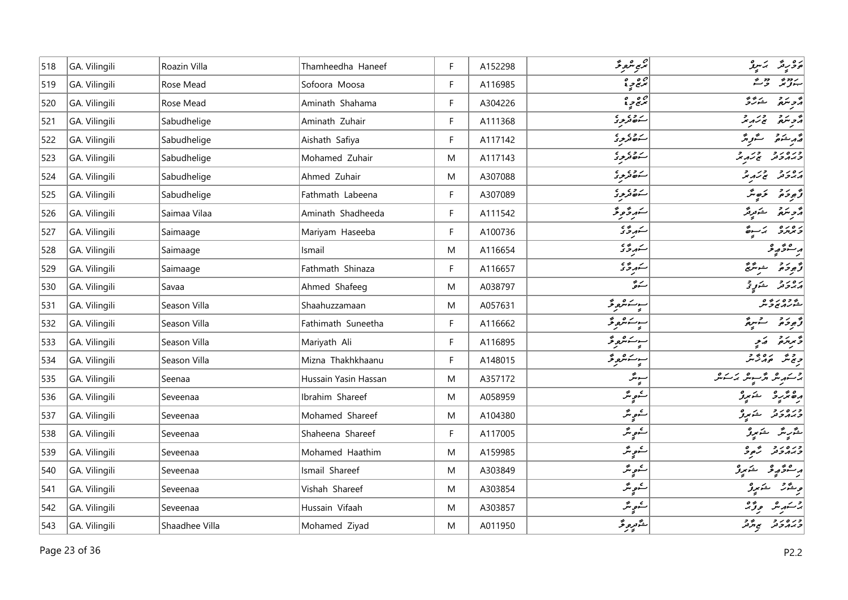| 518 | GA. Vilingili | Roazin Villa   | Thamheedha Haneef    | F  | A152298 | مربح م <sup>ع</sup> رو محر         | ەۋرىتى ئەس                                     |
|-----|---------------|----------------|----------------------|----|---------|------------------------------------|------------------------------------------------|
| 519 | GA. Vilingili | Rose Mead      | Sofoora Moosa        | F  | A116985 | ەر ھ<br>ئىرىنى ج <sub>ە</sub> ؟    | ىر دەپىر<br>سىزىر<br>دو مح                     |
| 520 | GA. Vilingili | Rose Mead      | Aminath Shahama      | F  | A304226 | 0 ء ۾ ج<br>مربح ح <sub>ي</sub> ء   | ے جمعے بخ<br>أرمز                              |
| 521 | GA. Vilingili | Sabudhelige    | Aminath Zuhair       | F  | A111368 | سەھ ترىر ئ                         | ومحر يتمر ومنافس والمراجي                      |
| 522 | GA. Vilingili | Sabudhelige    | Aishath Safiya       | F  | A117142 | ر ده ترو د                         | ۇرىشقا سۇرگ                                    |
| 523 | GA. Vilingili | Sabudhelige    | Mohamed Zuhair       | M  | A117143 | ر و ،<br>سخ <b>ھ</b> ترمونې        | כנסנכ בלגב                                     |
| 524 | GA. Vilingili | Sabudhelige    | Ahmed Zuhair         | M  | A307088 | سەھ قرىرى                          | رەرو ور                                        |
| 525 | GA. Vilingili | Sabudhelige    | Fathmath Labeena     | F  | A307089 | ر د ه ، د ،                        | أزوده ذهند                                     |
| 526 | GA. Vilingili | Saimaa Vilaa   | Aminath Shadheeda    | F  | A111542 | سەر ئۇ يۇ                          | أأتر سكوا المسكور وتكر                         |
| 527 | GA. Vilingili | Saimaage       | Mariyam Haseeba      | F  | A100736 | سكهروء                             | وبوده برسدة                                    |
| 528 | GA. Vilingili | Saimaage       | Ismail               | M  | A116654 | ستهروء                             | بر شۇ پەيۋ                                     |
| 529 | GA. Vilingili | Saimaage       | Fathmath Shinaza     | F. | A116657 | سكهرقرى                            | وٌمودَهُ مُسْتَمَعٌ                            |
| 530 | GA. Vilingili | Savaa          | Ahmed Shafeeg        | M  | A038797 | سەۋ                                | رەرو ئىر                                       |
| 531 | GA. Vilingili | Season Villa   | Shaahuzzamaan        | M  | A057631 | سەسە ئىرى<br>ئ                     | ر ده در ده ه<br>شور در مح تر مر                |
| 532 | GA. Vilingili | Season Villa   | Fathimath Suneetha   | F  | A116662 | سەسە ئىر <sub>ە</sub> ئە           | أَرْجُوحَهُ مُسْتَمَسِيَّةٌ                    |
| 533 | GA. Vilingili | Season Villa   | Mariyath Ali         | F  | A116895 | سەسە ئىرى<br>ئ                     | ومرور المالم                                   |
| 534 | GA. Vilingili | Season Villa   | Mizna Thakhkhaanu    | F  | A148015 | سەسە ئىرى <i>مۇ</i> ئ <sup>ۇ</sup> | جەنگە ئەۋرمىتى                                 |
| 535 | GA. Vilingili | Seenaa         | Hussain Yasin Hassan | M  | A357172 | سەپىگر                             | ر<br>بر کے مربعہ مرکب میں برکے میں             |
| 536 | GA. Vilingili | Seveenaa       | Ibrahim Shareef      | M  | A058959 | ء<br>سنو <sub>ء</sub> ِ مٿر        | ەھترىرى شەيرۇ                                  |
| 537 | GA. Vilingili | Seveenaa       | Mohamed Shareef      | M  | A104380 | ئە <sub>ھم</sub> ىتر               | ورورو خ <i>مبر</i> و<br><i>وی</i> رمروتر خوبرو |
| 538 | GA. Vilingili | Seveenaa       | Shaheena Shareef     | F  | A117005 | ئە <sub>ھە</sub> بىگە              | شۇر شەھىرى<br>مەسىر                            |
| 539 | GA. Vilingili | Seveenaa       | Mohamed Haathim      | M  | A159985 | ئە <sub>ھم</sub> ىگر               | وره رو و ه                                     |
| 540 | GA. Vilingili | Seveenaa       | Ismail Shareef       | M  | A303849 | ئە <sub>ھم</sub> ىگر               | ر شۇرچۇ سىرچۇ                                  |
| 541 | GA. Vilingili | Seveenaa       | Vishah Shareef       | M  | A303854 | ء<br>سنو <sub>ء</sub> مٿر          | ويشرش ينكبونو                                  |
| 542 | GA. Vilingili | Seveenaa       | Hussain Vifaah       | M  | A303857 | مشمویٹر<br>مسلم                    | يز سەر شەر بوق                                 |
| 543 | GA. Vilingili | Shaadhee Villa | Mohamed Ziyad        | M  | A011950 | ے در <sub>ی</sub> تر               | כנסגב היישיר<br>כ <i>ג</i> ורכנק היילנק        |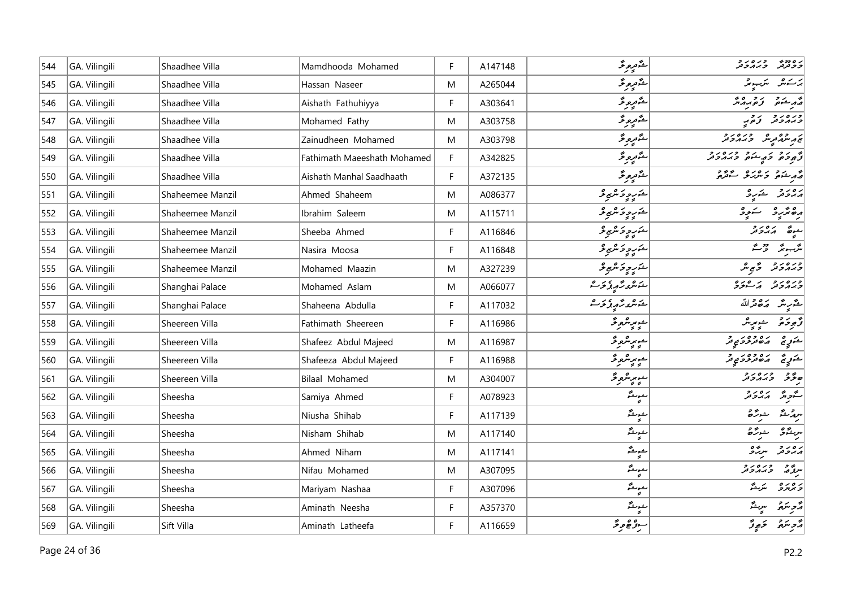| 544 | GA. Vilingili | Shaadhee Villa   | Mamdhooda Mohamed           | F. | A147148 | ىشەرە ئۇ<br>ئ                       | و ره ر و<br>تر <i>پر</i> وتر<br>ر ە دوپر<br>ترى توتر                                                                                                                                                                             |
|-----|---------------|------------------|-----------------------------|----|---------|-------------------------------------|----------------------------------------------------------------------------------------------------------------------------------------------------------------------------------------------------------------------------------|
| 545 | GA. Vilingili | Shaadhee Villa   | Hassan Naseer               | Μ  | A265044 | ىشەد <sub>ى</sub> رىدۇ.<br>ئەسمىر   | ترسكانكرا الترسيانكر                                                                                                                                                                                                             |
| 546 | GA. Vilingili | Shaadhee Villa   | Aishath Fathuhiyya          | F  | A303641 | ىش <sup>ت</sup> ورە ئ <sup>ۇ</sup>  | أشهر شنعى وحيده                                                                                                                                                                                                                  |
| 547 | GA. Vilingili | Shaadhee Villa   | Mohamed Fathy               | M  | A303758 | ىشەرەپ<br>ئ                         | ورەرو رو<br>دىرمەدىر ۋەپر                                                                                                                                                                                                        |
| 548 | GA. Vilingili | Shaadhee Villa   | Zainudheen Mohamed          | M  | A303798 | ىش <sup>ت</sup> ورەرگە<br>مەسىم     | בת הריקות בגרכת                                                                                                                                                                                                                  |
| 549 | GA. Vilingili | Shaadhee Villa   | Fathimath Maeeshath Mohamed | F. | A342825 | ىشەرە ۋ<br>ئ                        | و و ده که شوه دره د د                                                                                                                                                                                                            |
| 550 | GA. Vilingili | Shaadhee Villa   | Aishath Manhal Saadhaath    | F. | A372135 | ىشەد <sub>ىرى م</sub> ۇ             | د د شکو د ورو د دود.<br>د د شکو د سرکو سافرو                                                                                                                                                                                     |
| 551 | GA. Vilingili | Shaheemee Manzil | Ahmed Shaheem               | M  | A086377 | ے <sub>پر ب</sub> ے شہر قر          | رەر ئىي ئىي ئاھىيە ئىي ئىيات ئىيات ئىيات ئىيات ئىيات ئىيات ئىيات ئىيات كىلگەن كىيات كىيات كىيات كىيات كىيات كى<br>مەنبە ئىيات ئىيات ئىيات ئىيات كىيات كىيات كىيات كىيات كىيات كىيات كىيات كىيات كىيات كىيات كىيات كىيات كىيات كى |
| 552 | GA. Vilingili | Shaheemee Manzil | Ibrahim Saleem              | M  | A115711 | ىش <i>ر پەچ</i> رىگىبو بۇ           | ەرھەترىر <sup>ى</sup><br>سەرد د                                                                                                                                                                                                  |
| 553 | GA. Vilingili | Shaheemee Manzil | Sheeba Ahmed                | F  | A116846 | ىش <i>ر پە</i> چە ئىر ئىر           | شرقة - كەركىر                                                                                                                                                                                                                    |
| 554 | GA. Vilingili | Shaheemee Manzil | Nasira Moosa                | F. | A116848 | خەر <sub>ىپ</sub> رىز ئەرگىرى<br>مە | لترجيحه وحرثته                                                                                                                                                                                                                   |
| 555 | GA. Vilingili | Shaheemee Manzil | Mohamed Maazin              | Μ  | A327239 | ئەر <sub>ىرى</sub> ئەھمىي قە        | ورەرو ۋىر                                                                                                                                                                                                                        |
| 556 | GA. Vilingili | Shanghai Palace  | Mohamed Aslam               | Μ  | A066077 | خەش <sub>ى</sub> ر ئىر ئىز ئە       | ورەرو رەرە                                                                                                                                                                                                                       |
| 557 | GA. Vilingili | Shanghai Palace  | Shaheena Abdulla            | F  | A117032 | ڪ مٿري <i>ٿر وڏ خر</i> ٿ            | ڪريگر <b>صگر</b> هڪ الله                                                                                                                                                                                                         |
| 558 | GA. Vilingili | Sheereen Villa   | Fathimath Sheereen          | F  | A116986 | ىنېدىر ش <sub>رىم</sub> گە          | ۇ بۇرۇ ھەمدىگە                                                                                                                                                                                                                   |
| 559 | GA. Vilingili | Sheereen Villa   | Shafeez Abdul Majeed        | M  | A116987 | ى <u>ش</u> ومرىتر <sub>ى</sub> ر ئۇ | )<br>بالموسي من المن المركز و المراجع<br>المسكن المن المن المناسب                                                                                                                                                                |
| 560 | GA. Vilingili | Sheereen Villa   | Shafeeza Abdul Majeed       | F. | A116988 | ىيە بىر بىرى <i>مى</i> ر ئىر        | شورچٌ<br>ر ٥ و ٥ و ر<br>پر ۵ تر تر تر تر تر                                                                                                                                                                                      |
| 561 | GA. Vilingili | Sheereen Villa   | <b>Bilaal Mohamed</b>       | M  | A304007 | ھەبرىرى ئۆ<br><u>ئىقتىس</u> ىم      | و ره ر د<br><i>د ب</i> رگرفر<br>ە ئەتر                                                                                                                                                                                           |
| 562 | GA. Vilingili | Sheesha          | Samiya Ahmed                | F  | A078923 | شەرىگە<br>$\overline{\phantom{a}}$  | ەر ئەر تە<br>ستمريز                                                                                                                                                                                                              |
| 563 | GA. Vilingili | Sheesha          | Niusha Shihab               | F  | A117139 | ا ڪوڪر<br>ڪ                         | ے رگڑھ<br>سرمىشە                                                                                                                                                                                                                 |
| 564 | GA. Vilingili | Sheesha          | Nisham Shihab               | Μ  | A117140 | المصولمةً<br>ك                      | سريشگرم<br>ے رگڑھ                                                                                                                                                                                                                |
| 565 | GA. Vilingili | Sheesha          | Ahmed Niham                 | Μ  | A117141 | ے۔<br>ح                             | سررص<br>پروژو                                                                                                                                                                                                                    |
| 566 | GA. Vilingili | Sheesha          | Nifau Mohamed               | M  | A307095 | اڪوڪو<br>ڪ                          | و ره ر و<br><i>و پر د</i> تر<br>سروٌ پر                                                                                                                                                                                          |
| 567 | GA. Vilingili | Sheesha          | Mariyam Nashaa              | F. | A307096 | اڪوٽنگو<br>ڪ                        | ر ه بر ه<br><del>د</del> بربرگ<br>سَرْشَہُ                                                                                                                                                                                       |
| 568 | GA. Vilingili | Sheesha          | Aminath Neesha              | F  | A357370 | ا ڪوڪر<br>د                         | لتجريبهم<br>سرينگو                                                                                                                                                                                                               |
| 569 | GA. Vilingili | Sift Villa       | Aminath Latheefa            | F  | A116659 | سوژھ <sub>حر</sub> محر              | أروبتني فروثر                                                                                                                                                                                                                    |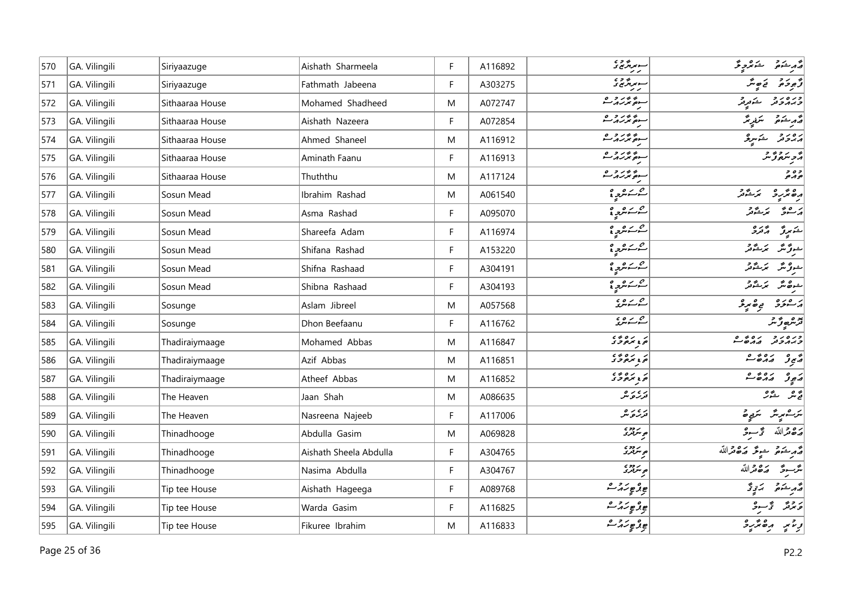| 570 | GA. Vilingili | Siriyaazuge     | Aishath Sharmeela      | F  | A116892 | ر سور پر دی<br>کے گھریکی تک                  | و<br>مەرشۇم شىر <i>و</i> ر                      |
|-----|---------------|-----------------|------------------------|----|---------|----------------------------------------------|-------------------------------------------------|
| 571 | GA. Vilingili | Siriyaazuge     | Fathmath Jabeena       | F  | A303275 | سە بىر بىر بىر ي<br>سىر بىر بىر ي            | توجوخه في شر                                    |
| 572 | GA. Vilingili | Sithaaraa House | Mohamed Shadheed       | M  | A072747 | سە <i>ئە بىرى</i> ر 2<br>س                   | و ر ه ر د<br>تر پر ژنر<br>شَدَّتْرِيْرُ         |
| 573 | GA. Vilingili | Sithaaraa House | Aishath Nazeera        | F  | A072854 | سەھ ئىرىر <i>2 م</i>                         | و مرکز در<br>مرکز مشونو<br>سَمْدِيمَهِ          |
| 574 | GA. Vilingili | Sithaaraa House | Ahmed Shaneel          | M  | A116912 | سە <i>ھ ترىر د</i> ە                         | رەرو خەرو                                       |
| 575 | GA. Vilingili | Sithaaraa House | Aminath Faanu          | F  | A116913 | سەھ ئىرىر 2<br>سوغرىرى مىش                   | ە ئەر سىنى ئەرگە ئىر<br>مەنبە                   |
| 576 | GA. Vilingili | Sithaaraa House | Thuththu               | M  | A117124 | پە ئەبرىر م                                  | و ه و<br>حوار ح                                 |
| 577 | GA. Vilingili | Sosun Mead      | Ibrahim Rashad         | M  | A061540 | <u>شر مەھرى</u>                              | رەپرىر برىشتر                                   |
| 578 | GA. Vilingili | Sosun Mead      | Asma Rashad            | F  | A095070 | استمسكر المعجيرة                             | كاسكافي المركبة فكر                             |
| 579 | GA. Vilingili | Sosun Mead      | Shareefa Adam          | F  | A116974 | <u>م بەر ۋە</u>                              |                                                 |
| 580 | GA. Vilingili | Sosun Mead      | Shifana Rashad         | F  | A153220 | $\sqrt[2]{\frac{2}{\sqrt[2]{\frac{1}{2}}}}$  | <mark>شوژٌ مُرَ مُرَ مُرَ مُرَ مُرَ مَرَ</mark> |
| 581 | GA. Vilingili | Sosun Mead      | Shifna Rashaad         | F  | A304191 | <u>م كەنكە يوق</u>                           | شوقر مگر محرشة قر                               |
| 582 | GA. Vilingili | Sosun Mead      | Shibna Rashaad         | F  | A304193 | <u>م كەنگە يۇ ي</u>                          | شوڭ سُر سُرَ دُر كر                             |
| 583 | GA. Vilingili | Sosunge         | Aslam Jibreel          | M  | A057568 | <u>مریم مری</u>                              |                                                 |
| 584 | GA. Vilingili | Sosunge         | Dhon Beefaanu          | F. | A116762 | <u>مریم مری</u>                              | بر <sub>ە شھ<sup>و</sup>زىتر</sub>              |
| 585 | GA. Vilingili | Thadiraiymaage  | Mohamed Abbas          | M  | A116847 | <br>  پرېم پر پر دی                          | כנסנכ נסש כ                                     |
| 586 | GA. Vilingili | Thadiraiymaage  | Azif Abbas             | M  | A116851 | <br>  پی بر پر پر پر پر                      | ە ئەرەپەت ھە                                    |
| 587 | GA. Vilingili | Thadiraiymaage  | Atheef Abbas           | M  | A116852 | ر بەرەپ<br>مۇبە ئىگەرى                       | ەجوز<br>2501                                    |
| 588 | GA. Vilingili | The Heaven      | Jaan Shah              | M  | A086635 | ىر ، س ھ<br>قرىر <i>ھ</i> ر                  | يج هي ش <sup>ع</sup> ر                          |
| 589 | GA. Vilingili | The Heaven      | Nasreena Najeeb        | F  | A117006 | ىر ، س ھ<br>تىرىرى ئىس                       | ىترىشمېرىتى سىرې ھ                              |
| 590 | GA. Vilingili | Thinadhooge     | Abdulla Gasim          | M  | A069828 | بر دو ۽<br>حو سرقري                          | مَدْهُ مَّرَاللَّهُ تَجْ - وَ                   |
| 591 | GA. Vilingili | Thinadhooge     | Aishath Sheela Abdulla | F  | A304765 | ا <sub>حو</sub> سربر د                       | أقهر منحق منحق وكافد الله                       |
| 592 | GA. Vilingili | Thinadhooge     | Nasima Abdulla         | F  | A304767 | ر دو ء<br>ج سرگری                            | سَّرَ-وَتَنَّهُ صَ <b>صُّوَ</b> اللَّهُ         |
| 593 | GA. Vilingili | Tip tee House   | Aishath Hageega        | F  | A089768 | <br> عِرْعٍ رَمْرٌ                           | و ديگر ديگري ديگري ديگر<br>د مرسمون ديگري ک     |
| 594 | GA. Vilingili | Tip tee House   | Warda Gasim            | F. | A116825 | <br>  ع <sub>ر</sub> ثر حو <sup>س</sup> ر مث | ى دەپ سىچە سەۋ                                  |
| 595 | GA. Vilingili | Tip tee House   | Fikuree Ibrahim        | M  | A116833 | <br>  ع <sub>ر</sub> قر عرضه م               | وبني مەھمىرو                                    |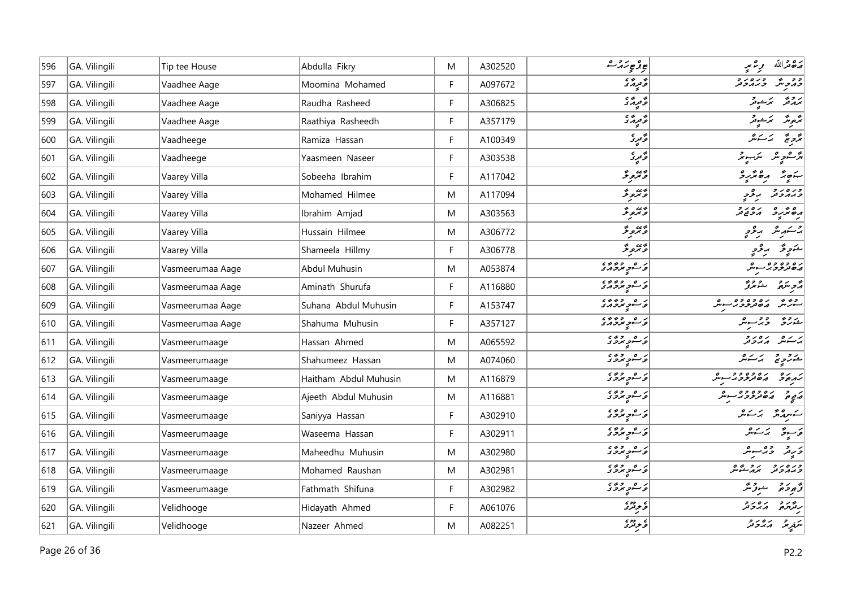| 596 | GA. Vilingili | Tip tee House    | Abdulla Fikry         | M  | A302520 | <br>  ع <sub>ر</sub> قر عرضه حراف ا           | برة قرالله<br>ورثامير                                        |
|-----|---------------|------------------|-----------------------|----|---------|-----------------------------------------------|--------------------------------------------------------------|
| 597 | GA. Vilingili | Vaadhee Aage     | Moomina Mohamed       | F. | A097672 | په مهر<br>وګړه د                              | و ره ر و<br><i>د ب</i> رگرفر<br>وړو پر                       |
| 598 | GA. Vilingili | Vaadhee Aage     | Raudha Rasheed        | F. | A306825 | ه وره د<br>وګرړ د                             | ر و د کرشونر<br><i>برونر</i> کرشونر                          |
| 599 | GA. Vilingili | Vaadhee Aage     | Raathiya Rasheedh     | F. | A357179 | تۇمەرتە ئە<br>                                | نۇپرىگە ئەكەشلىرىگە<br>مەم                                   |
| 600 | GA. Vilingili | Vaadheege        | Ramiza Hassan         | F  | A100349 | په تور <sup>ي</sup><br>حربي                   | بڑیخ<br>برسەيىتىر                                            |
| 601 | GA. Vilingili | Vaadheege        | Yaasmeen Naseer       | F  | A303538 | ۇ<br>قرىمى                                    | ۇرموپىر سىبولىر                                              |
| 602 | GA. Vilingili | Vaarey Villa     | Sobeeha Ibrahim       | F  | A117042 | ۇتئەرگ                                        | بنوبة وهتربر                                                 |
| 603 | GA. Vilingili | Vaarey Villa     | Mohamed Hilmee        | M  | A117094 | ء ۽،<br>وسمرو قر                              | ورەرو برو <sub>ج</sub>                                       |
| 604 | GA. Vilingili | Vaarey Villa     | Ibrahim Amjad         | M  | A303563 | ديم و ځه                                      | ەر ھەترىر 2<br>بر ھەترىر 2<br>پر 9 پر 5<br>پر 5 قر           |
| 605 | GA. Vilingili | Vaarey Villa     | Hussain Hilmee        | M  | A306772 | ە يە<br>قەنىزە بەش                            | برستهر شهر بروح                                              |
| 606 | GA. Vilingili | Vaarey Villa     | Shameela Hillmy       | F  | A306778 | ە يە<br>قەنىزە بەش                            | شروءٌ پروو                                                   |
| 607 | GA. Vilingili | Vasmeerumaa Aage | Abdul Muhusin         | M  | A053874 | ر ه په دوره و                                 | ره ده ده وه<br>د ه ترو د بر سوش                              |
| 608 | GA. Vilingili | Vasmeerumaa Aage | Aminath Shurufa       | F  | A116880 | ر ه دوده<br>و سوپروړۍ                         | أزويتهم شهرتر                                                |
| 609 | GA. Vilingili | Vasmeerumaa Aage | Suhana Abdul Muhusin  | F  | A153747 | پر ۱۹ و پرو و پر<br>  پر سرچ مرکز و پر        | ده د ه ده ده ده می<br>سورس مان تورود سوس                     |
| 610 | GA. Vilingili | Vasmeerumaa Aage | Shahuma Muhusin       | F  | A357127 | ۇ سەپە برىز برى                               | لمشركز وجرستش                                                |
| 611 | GA. Vilingili | Vasmeerumaage    | Hassan Ahmed          | M  | A065592 | ئەسىمە ئەرىپى<br>  ئەسىمە ئەرىپە              | يركبش المردوحر                                               |
| 612 | GA. Vilingili | Vasmeerumaage    | Shahumeez Hassan      | M  | A074060 | ئۆسەر چەم ئ                                   | لمؤثر والمتحر المركب والمراكب                                |
| 613 | GA. Vilingili | Vasmeerumaage    | Haitham Abdul Muhusin | M  | A116879 | ئەسىم ئەرگە ئە<br>  ئەسىمبىرىسى               | - 1070707 0777                                               |
| 614 | GA. Vilingili | Vasmeerumaage    | Ajeeth Abdul Muhusin  | M  | A116881 | ۇ شوپرىرى                                     | ر و ده وووومبر وه                                            |
| 615 | GA. Vilingili | Vasmeerumaage    | Saniyya Hassan        | F  | A302910 | پر ص <sub>ح</sub> پر پر په                    | سەسلەر ئەسەر                                                 |
| 616 | GA. Vilingili | Vasmeerumaage    | Waseema Hassan        | F  | A302911 | پر ص <sub>حی</sub> پر چرې<br>  پر سمبر پر چرې | ءَ -- ڈ<br>برسەمىر                                           |
| 617 | GA. Vilingili | Vasmeerumaage    | Maheedhu Muhusin      | M  | A302980 | ر مشر پروی<br>موسیح                           | ۇرىۋە ۋەسىر                                                  |
| 618 | GA. Vilingili | Vasmeerumaage    | Mohamed Raushan       | M  | A302981 | ۇ شوپە چەي                                    | ورەرو روشگ                                                   |
| 619 | GA. Vilingili | Vasmeerumaage    | Fathmath Shifuna      | F  | A302982 | ۇ شوپرۇ ئ                                     | أرتموخا فمستورش                                              |
| 620 | GA. Vilingili | Velidhooge       | Hidayath Ahmed        | F. | A061076 | ه وده<br>د عرفرد                              | د در ده دور<br>رنگرمزه مدرون                                 |
| 621 | GA. Vilingili | Velidhooge       | Nazeer Ahmed          | M  | A082251 | ه وده<br>د مرترد                              | ىكغ <sub>ىر</sub> ىز كەردىرى<br>سىن <sub>ىرى</sub> تر كەردىر |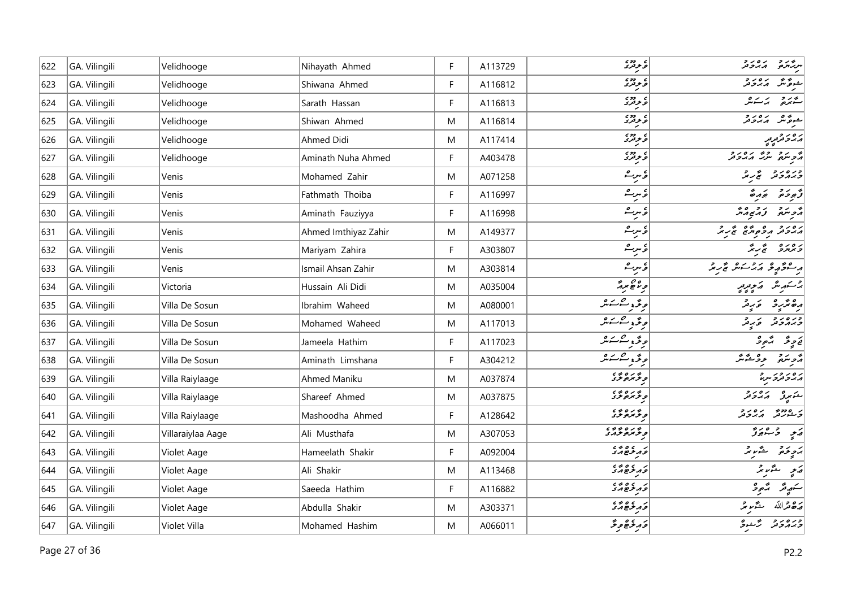| 622 | GA. Vilingili | Velidhooge        | Nihayath Ahmed       | F         | A113729 | ء ودء<br>  خر قرر                       | سرمرد ره دو                                              |
|-----|---------------|-------------------|----------------------|-----------|---------|-----------------------------------------|----------------------------------------------------------|
| 623 | GA. Vilingili | Velidhooge        | Shiwana Ahmed        | F         | A116812 | ء ودء<br>حرفر <sub>ک</sub>              | ىشبەر ئەڭر<br>بر ٥ پر و<br>م <i>ر</i> بر <del>و</del> تر |
| 624 | GA. Vilingili | Velidhooge        | Sarath Hassan        | F         | A116813 | ه وده<br>د عرفری                        | سۇپرى برىكىش                                             |
| 625 | GA. Vilingili | Velidhooge        | Shiwan Ahmed         | M         | A116814 | ء ودوء<br>حرفر <i>ۍ</i>                 | جوگر مدونر                                               |
| 626 | GA. Vilingili | Velidhooge        | Ahmed Didi           | ${\sf M}$ | A117414 | ء ودء<br>  خر قرر                       | <br> پرچر تر تر تر تر<br> پرچر تر تر تر                  |
| 627 | GA. Vilingili | Velidhooge        | Aminath Nuha Ahmed   | F         | A403478 | ه وده<br>د عرفرو                        | הכתב תי הפני                                             |
| 628 | GA. Vilingili | Venis             | Mohamed Zahir        | M         | A071258 | ۇسرىشە                                  | ورەرو ئەرىر                                              |
| 629 | GA. Vilingili | Venis             | Fathmath Thoiba      | F         | A116997 | ۇسرىشە                                  | وٌجِرْحَمْ جَهْدِهُ                                      |
| 630 | GA. Vilingili | Venis             | Aminath Fauziyya     | F         | A116998 | ۇسرىئە                                  |                                                          |
| 631 | GA. Vilingili | Venis             | Ahmed Imthiyaz Zahir | M         | A149377 | ۇسرىشە                                  | ورود وده والمعجم المحرار                                 |
| 632 | GA. Vilingili | Venis             | Mariyam Zahira       | F         | A303807 | ء سرب                                   | رەرە ئەر                                                 |
| 633 | GA. Vilingili | Venis             | Ismail Ahsan Zahir   | M         | A303814 | ۇسرىقە                                  |                                                          |
| 634 | GA. Vilingili | Victoria          | Hussain Ali Didi     | ${\sf M}$ | A035004 | ومقوبرة                                 | يز ڪمرنگر ڪي پير پر                                      |
| 635 | GA. Vilingili | Villa De Sosun    | Ibrahim Waheed       | M         | A080001 | <sub>عر</sub> محه دیم که که ک           | ەھە <i>ئەد</i> ە كەبدىر                                  |
| 636 | GA. Vilingili | Villa De Sosun    | Mohamed Waheed       | M         | A117013 | و دڅه کشکینګر                           | ورەر دىر د                                               |
| 637 | GA. Vilingili | Villa De Sosun    | Jameela Hathim       | F         | A117023 | <sub>حو</sub> محه بر مشتر متعدد         | ر په په مرکز کې د کار د کلو کو لري.<br>مرکز کلو کلو کړ   |
| 638 | GA. Vilingili | Villa De Sosun    | Aminath Limshana     | F         | A304212 | <sub>حو</sub> محه ويتحد سكتار           | أزوينهم ووشامر                                           |
| 639 | GA. Vilingili | Villa Raiylaage   | Ahmed Maniku         | ${\sf M}$ | A037874 | ءِ تر ه و ۽<br>و تر پره تر <sub>ک</sub> | ر 2 ر 2 ر 2<br>ג ژ ژ تر ژ سربا                           |
| 640 | GA. Vilingili | Villa Raiylaage   | Shareef Ahmed        | ${\sf M}$ | A037875 | <br>  مو محمد محمد محمد                 | ڪي پر پر د                                               |
| 641 | GA. Vilingili | Villa Raiylaage   | Mashoodha Ahmed      | F         | A128642 | ه نوم ده و ،<br>د نومره نو د            | ر ۲۶۵۵ بره رو<br>تر شورتر که برتر تر                     |
| 642 | GA. Vilingili | Villaraiylaa Aage | Ali Musthafa         | M         | A307053 | <br>  و د بره د د د                     | أەمو وسعود                                               |
| 643 | GA. Vilingili | Violet Aage       | Hameelath Shakir     | F         | A092004 | ر ري و د و<br><i>و د</i> د کار د        | برودة لتقرير                                             |
| 644 | GA. Vilingili | Violet Aage       | Ali Shakir           | M         | A113468 | در ده و د ،                             | ړې شريد<br>مړينې                                         |
| 645 | GA. Vilingili | Violet Aage       | Saeeda Hathim        | F         | A116882 | ر په وو په<br><i>و</i> برخ مړي          | برٌمورٌ<br>سە پەتىر                                      |
| 646 | GA. Vilingili | Violet Aage       | Abdulla Shakir       | ${\sf M}$ | A303371 | ر<br>تومر څخه دی                        | ەھەراللە<br>ىشەرىر                                       |
| 647 | GA. Vilingili | Violet Villa      | Mohamed Hashim       | ${\sf M}$ | A066011 | وَرِدْعْ عِرْقَه                        | ورەرو گىشوۋ                                              |
|     |               |                   |                      |           |         |                                         |                                                          |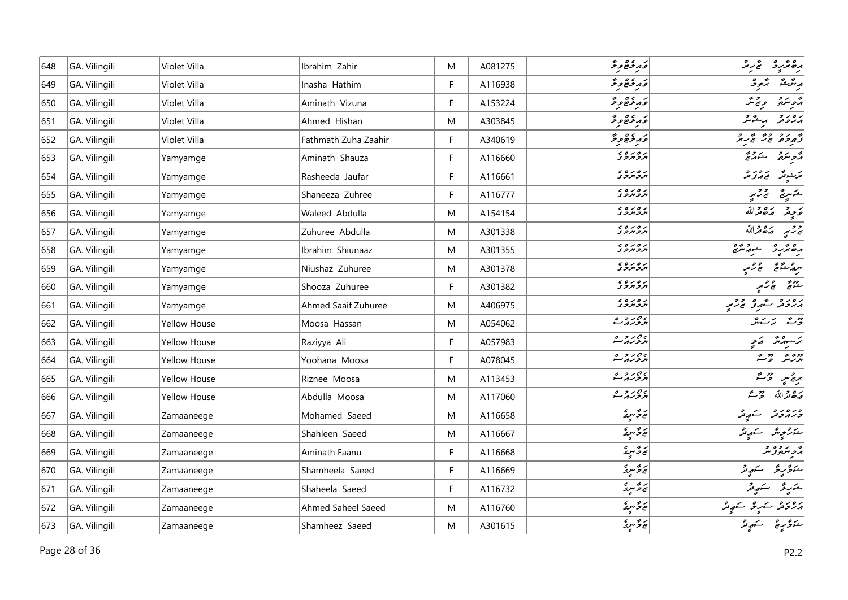| 648 | GA. Vilingili | Violet Villa        | Ibrahim Zahir             | M         | A081275 | وَرِدْعْ وِدَّ                          | پچ سر چر<br>$rac{6}{5}$                                         |
|-----|---------------|---------------------|---------------------------|-----------|---------|-----------------------------------------|-----------------------------------------------------------------|
| 649 | GA. Vilingili | Violet Villa        | Inasha Hathim             | F         | A116938 | ءَ ہر ځه چو ځه                          | برىتزىنى<br>بڑور                                                |
| 650 | GA. Vilingili | Violet Villa        | Aminath Vizuna            | F         | A153224 | ئەرىخى ئەر                              | أروسرة<br>ە ئەتىر                                               |
| 651 | GA. Vilingili | Violet Villa        | Ahmed Hishan              | M         | A303845 | ئەرىۋە بۇ ئە                            | رەرد برخىر                                                      |
| 652 | GA. Vilingili | Violet Villa        | Fathmath Zuha Zaahir      | F         | A340619 | ئەرىۋىھ موڭر                            | و دو وو ور                                                      |
| 653 | GA. Vilingili | Yamyamge            | Aminath Shauza            | F         | A116660 | ر ه ر ه ،<br>برو برو <sub>ک</sub>       | הקיתם בינים                                                     |
| 654 | GA. Vilingili | Yamyamge            | Rasheeda Jaufar           | F         | A116661 | ر ه ر ه ،<br>برو برو د                  | بمرجوش كالمروكر                                                 |
| 655 | GA. Vilingili | Yamyamge            | Shaneeza Zuhree           | F         | A116777 | ر ه ر ه ،<br>در در د د                  | شەيدىنى ئىمى ئىمى                                               |
| 656 | GA. Vilingili | Yamyamge            | Waleed Abdulla            | ${\sf M}$ | A154154 | ر ه ر ه ،<br>برو برو <sub>ک</sub>       | عرفي من الله عليه الله<br>مؤمر من الله                          |
| 657 | GA. Vilingili | Yamyamge            | Zuhuree Abdulla           | M         | A301338 | ر ه ر ه ی<br>برو برو <sub>ک</sub>       | ي <sub>ح</sub> رمي   پر مركات كرديد<br>  <br> -                 |
| 658 | GA. Vilingili | Yamyamge            | Ibrahim Shiunaaz          | M         | A301355 | ر ه ر ه ،<br>برو برو <sub>ک</sub>       | وەترىرو شورشى                                                   |
| 659 | GA. Vilingili | Yamyamge            | Niushaz Zuhuree           | M         | A301378 | ر ه ر ه ،<br>پرو پرو د                  | $\begin{array}{cc}\n & 22 & 0 & 2 \\ & 25 & 0 & 2\n\end{array}$ |
| 660 | GA. Vilingili | Yamyamge            | Shooza Zuhuree            | F         | A301382 | ر ه ر ه ،<br>برو برو د                  |                                                                 |
| 661 | GA. Vilingili | Yamyamge            | Ahmed Saaif Zuhuree       | ${\sf M}$ | A406975 | נים נים ג<br>תבתבצ                      | رورو گرو وویر                                                   |
| 662 | GA. Vilingili | <b>Yellow House</b> | Moosa Hassan              | ${\sf M}$ | A054062 | <i>، می بر ج</i><br>مرمو <i>ت</i> کم    | وحسشه الإسكانش                                                  |
| 663 | GA. Vilingili | <b>Yellow House</b> | Raziyya Ali               | F         | A057983 | <i>، می ر</i> جه ه<br>مرمو <i>ت</i> ه گ | يرَ شوره مع المركز                                              |
| 664 | GA. Vilingili | Yellow House        | Yoohana Moosa             | F         | A078045 | <i>، می ر</i> جه ه<br>مرمو <i>ت</i> ه گ | ودہ ہے ۔<br>افراد کر اسکو                                       |
| 665 | GA. Vilingili | <b>Yellow House</b> | Riznee Moosa              | M         | A113453 | ، <i>? ر ج</i><br>پر بور پر پ           | پرېم سمبر د حقیقه<br>  پرېم سمبر د حقیقه                        |
| 666 | GA. Vilingili | <b>Yellow House</b> | Abdulla Moosa             | M         | A117060 | ، <i>? بر ج</i><br>مرمو <i>ت</i> گه     | مَدْهُ قَرْاللّه حَقْ تَ                                        |
| 667 | GA. Vilingili | Zamaaneege          | Mohamed Saeed             | M         | A116658 | ئەۋسىدى                                 | ورەرو سەرىر                                                     |
| 668 | GA. Vilingili | Zamaaneege          | Shahleen Saeed            | M         | A116667 | ئەۋسىدى                                 | خۇرىم سەرىر                                                     |
| 669 | GA. Vilingili | Zamaaneege          | Aminath Faanu             | F         | A116668 | ىر ئ <sup>ۇ</sup> س <sub>ى</sub> ئە     | أۇجە ئىبرو ئور                                                  |
| 670 | GA. Vilingili | Zamaaneege          | Shamheela Saeed           | F         | A116669 | ر و<br>پرځ سرچ                          | شكار دار به كرد برگر                                            |
| 671 | GA. Vilingili | Zamaaneege          | Shaheela Saeed            | F         | A116732 | ر پر میں<br>پر ڈسمی                     | شۇرىق سۈرلەر                                                    |
| 672 | GA. Vilingili | Zamaaneege          | <b>Ahmed Saheel Saeed</b> | M         | A116760 | ر و<br>پرځ سرچ                          | رەرد سرو سور                                                    |
| 673 | GA. Vilingili | Zamaaneege          | Shamheez Saeed            | ${\sf M}$ | A301615 | ىر ئۇ س <sub>ى</sub> رىگە               | شكورج كتمير                                                     |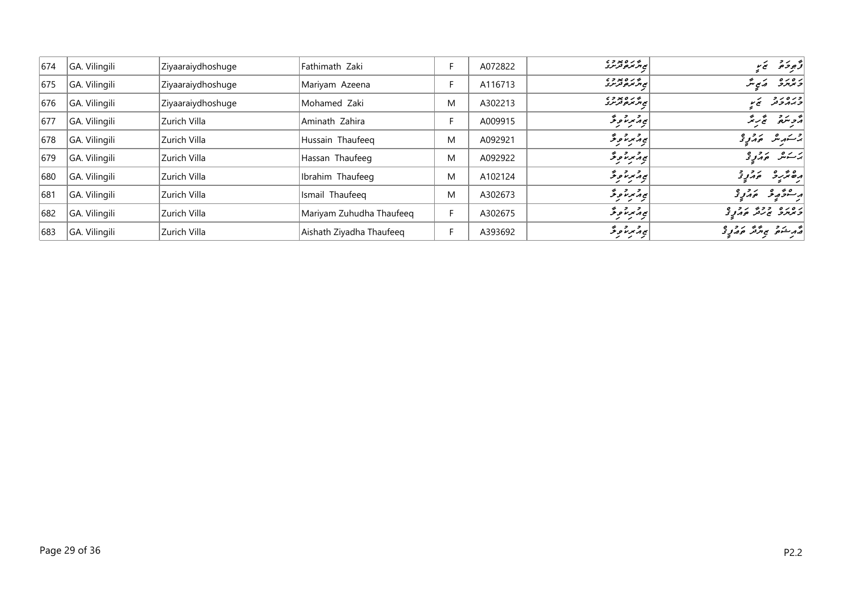| 674 | <b>GA.</b> Vilingili | Ziyaaraiydhoshuge | Fathimath Zaki           |   | A072822 | <br>  بع دگر بمرجو تعریبی و                                 | ا تو پر خا<br>بمعر                               |
|-----|----------------------|-------------------|--------------------------|---|---------|-------------------------------------------------------------|--------------------------------------------------|
| 675 | GA. Vilingili        | Ziyaaraiydhoshuge | Mariyam Azeena           |   | A116713 | ے پڑ <sub>مر</sub> 2 2 2 تا<br>بے پڑ <i>برج قرس</i> ری      | ر ه ر ه<br><del>ر</del> بربر ژ<br>در سے سر       |
| 676 | GA. Vilingili        | Ziyaaraiydhoshuqe | Mohamed Zaki             | M | A302213 | 0.20004<br>ہے او بوج فرمزی                                  | دیره در دی                                       |
| 677 | GA. Vilingili        | Zurich Villa      | Aminath Zahira           |   | A009915 | يې ترىرىئو مۇ                                               | أأزحر متمريخ                                     |
| 678 | GA. Vilingili        | Zurich Villa      | Hussain Thaufeeg         | M | A092921 | پر جمهر تمریحه                                              | جر سَمبر شرح محمد محرقو تح                       |
| 679 | GA. Vilingili        | Zurich Villa      | Hassan Thaufeeg          | M | A092922 | يې د برړې د ځه<br>$\sim$ $\sim$                             | پرسەش ئۇرۇپى                                     |
| 680 | GA. Vilingili        | Zurich Villa      | Ibrahim Thaufeeg         | M | A102124 | يى ئەبىرىم بوڭر<br>> > >                                    | رە ئرىر ئەرىر ئى                                 |
| 681 | <b>GA. Vilingili</b> | Zurich Villa      | Ismail Thaufeeg          | M | A302673 | $\rightarrow$ $\rightarrow$ $\rightarrow$<br>م م مر مر مو م | ر مو په په موړنو په                              |
| 682 | GA. Vilingili        | Zurich Villa      | Mariyam Zuhudha Thaufeeg |   | A302675 | يى ئەسرىئومۇ                                                | ر ور و دو د د و و                                |
| 683 | GA. Vilingili        | Zurich Villa      | Aishath Ziyadha Thaufeeq |   | A393692 | يى ئەبىرىم بوڭر                                             | أمار مشكور المحمد المحمد والمحمد والمحمد والمحمد |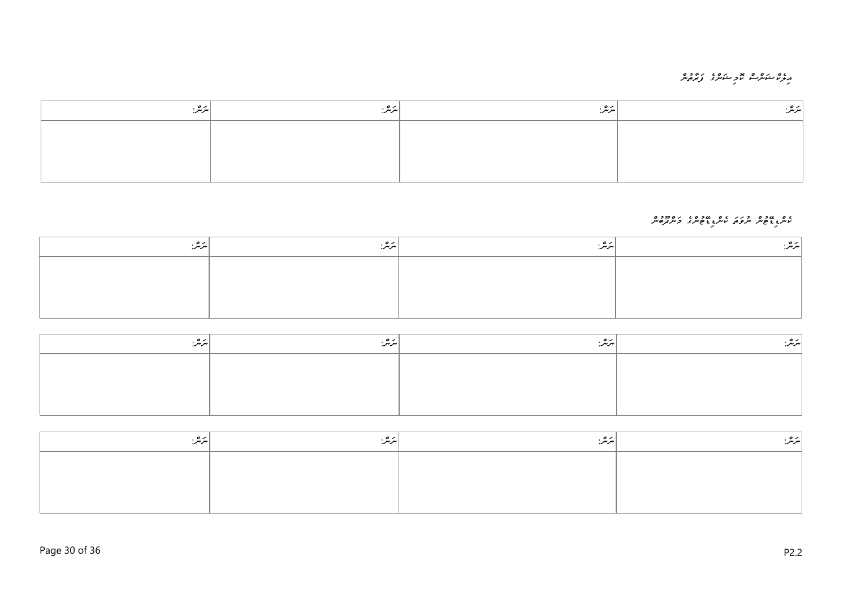## *w7qAn8m? sCw7mRo>u; wEw7mRw;sBo<*

| ' مرمر | 'يئرىثر: |
|--------|----------|
|        |          |
|        |          |
|        |          |

## *w7q9r@w7m> sCw7qHtFoFw7s; mAm=q7 w7qHtFoFw7s;*

| يئرمىش: | $^{\circ}$<br>. سر سر<br>$\cdot$ | $\circ$ $\sim$<br>-- | يئرمثر |
|---------|----------------------------------|----------------------|--------|
|         |                                  |                      |        |
|         |                                  |                      |        |
|         |                                  |                      |        |

| $\frac{2}{n}$ | $\overline{\phantom{a}}$ | اير هنه. | $\mathcal{O} \times$<br>سرسر |
|---------------|--------------------------|----------|------------------------------|
|               |                          |          |                              |
|               |                          |          |                              |
|               |                          |          |                              |

| ىرتىر: | 。<br>سر سر | .,<br>مرسر |
|--------|------------|------------|
|        |            |            |
|        |            |            |
|        |            |            |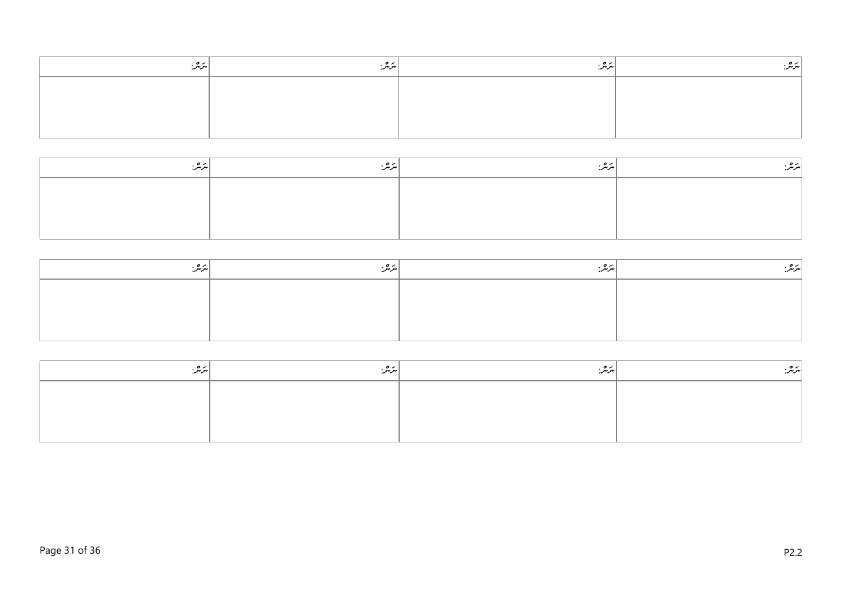| يزهر | $^{\circ}$ | ىئرىتر: |  |
|------|------------|---------|--|
|      |            |         |  |
|      |            |         |  |
|      |            |         |  |

| <sup>.</sup> سرسر. |  |
|--------------------|--|
|                    |  |
|                    |  |
|                    |  |

| ىئرىتر. | $\sim$ | ا بر هه. | لىرىش |
|---------|--------|----------|-------|
|         |        |          |       |
|         |        |          |       |
|         |        |          |       |

| 。<br>مرس. | $\overline{\phantom{a}}$<br>مر سر | يتريثر |
|-----------|-----------------------------------|--------|
|           |                                   |        |
|           |                                   |        |
|           |                                   |        |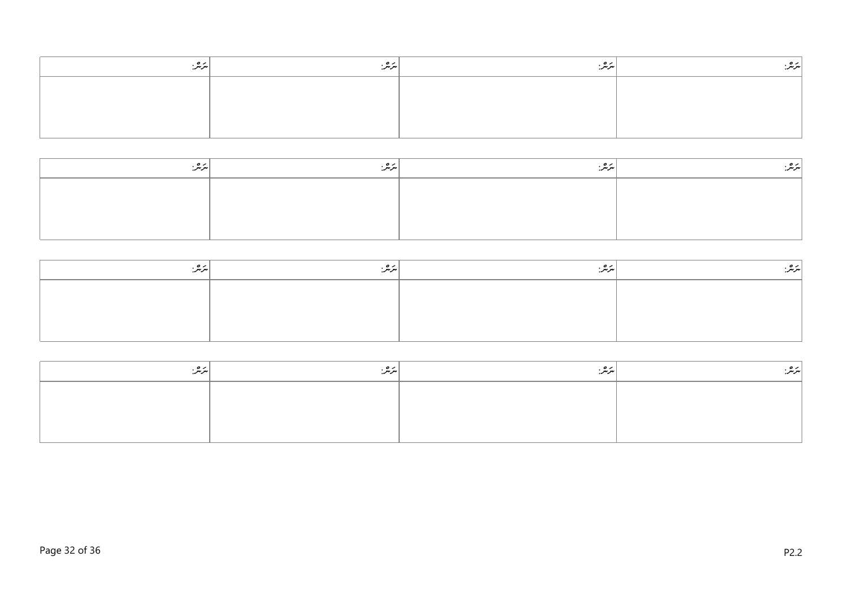| ير هو . | $\overline{\phantom{a}}$ | يرمر | اير هنه. |
|---------|--------------------------|------|----------|
|         |                          |      |          |
|         |                          |      |          |
|         |                          |      |          |

| ئىرتىر: | $\sim$<br>ا سرسر . | يئرمثر | o . |
|---------|--------------------|--------|-----|
|         |                    |        |     |
|         |                    |        |     |
|         |                    |        |     |

| الترنثر: | ' مرتكز: | الترنثر: | .,<br>سرسر. |
|----------|----------|----------|-------------|
|          |          |          |             |
|          |          |          |             |
|          |          |          |             |

|  | . ه |
|--|-----|
|  |     |
|  |     |
|  |     |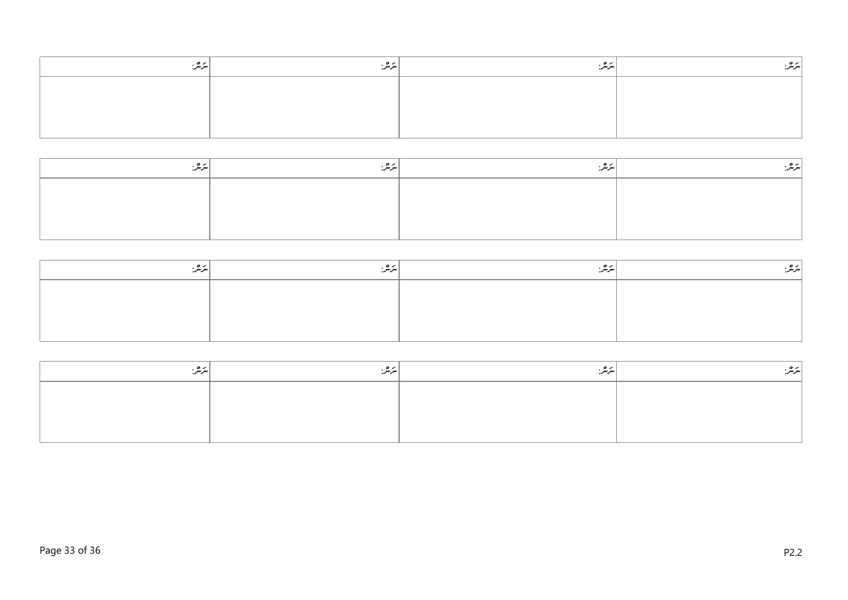| ير هو . | $\overline{\phantom{a}}$ | يرمر | اير هنه. |
|---------|--------------------------|------|----------|
|         |                          |      |          |
|         |                          |      |          |
|         |                          |      |          |

| ئىرتىر: | $\sim$<br>ا سرسر . | يئرمثر | o . |
|---------|--------------------|--------|-----|
|         |                    |        |     |
|         |                    |        |     |
|         |                    |        |     |

| الترنثر: | ' مرتكز: | الترنثر: | .,<br>سرسر. |
|----------|----------|----------|-------------|
|          |          |          |             |
|          |          |          |             |
|          |          |          |             |

|  | . ه |
|--|-----|
|  |     |
|  |     |
|  |     |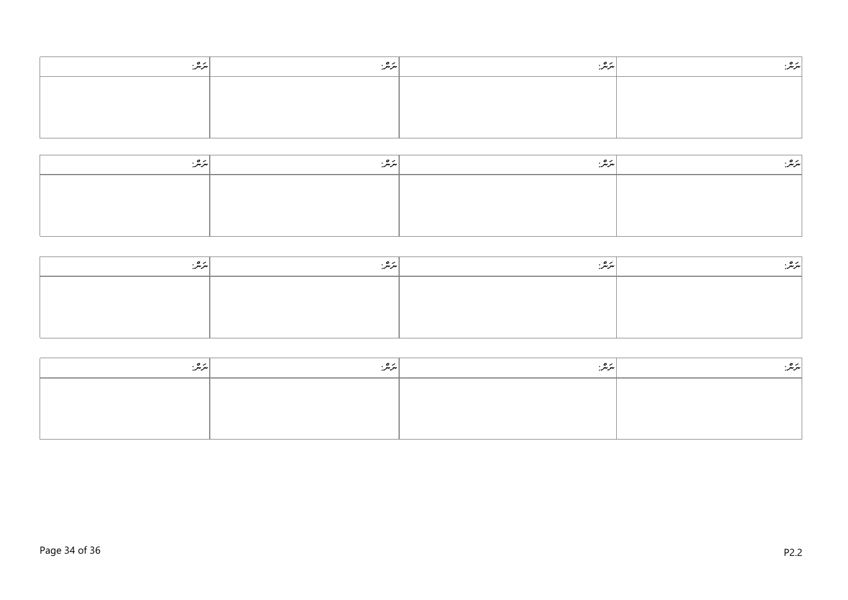| $\cdot$ | ο. | $\frac{\circ}{\cdot}$ | $\sim$<br>سرسر |
|---------|----|-----------------------|----------------|
|         |    |                       |                |
|         |    |                       |                |
|         |    |                       |                |

| يريثن | ' سرسر . |  |
|-------|----------|--|
|       |          |  |
|       |          |  |
|       |          |  |

| بر ه | 。 | $\sim$<br>َ سومس. |  |
|------|---|-------------------|--|
|      |   |                   |  |
|      |   |                   |  |
|      |   |                   |  |

| 。<br>. س | ىرىىر |  |
|----------|-------|--|
|          |       |  |
|          |       |  |
|          |       |  |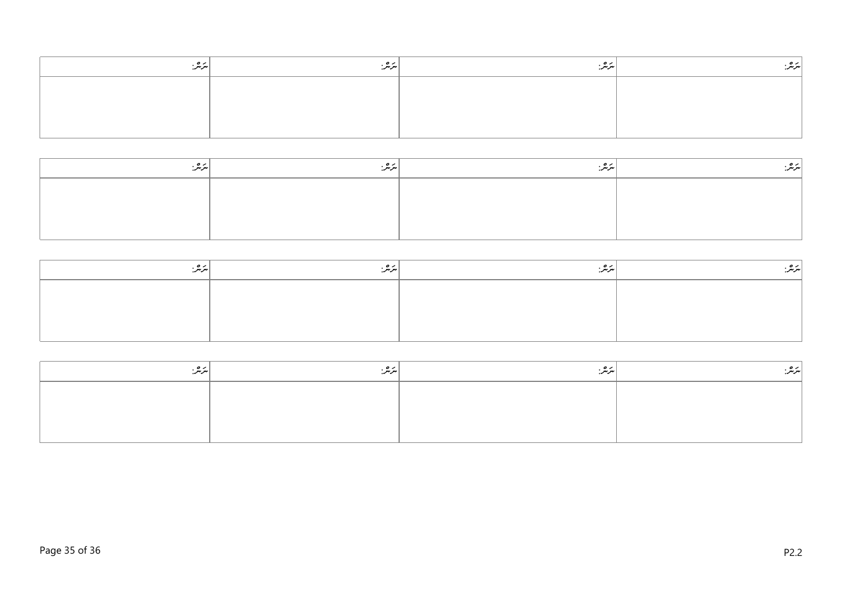| ير هو . | $\overline{\phantom{a}}$ | يرمر | لتزمثن |
|---------|--------------------------|------|--------|
|         |                          |      |        |
|         |                          |      |        |
|         |                          |      |        |

| ىر تىر: | $\circ$ $\sim$<br>" سرسر . | يترمير | o . |
|---------|----------------------------|--------|-----|
|         |                            |        |     |
|         |                            |        |     |
|         |                            |        |     |

| الترنثر: | ' مرتكز: | الترنثر: | .,<br>سرسر. |
|----------|----------|----------|-------------|
|          |          |          |             |
|          |          |          |             |
|          |          |          |             |

|  | . ه |
|--|-----|
|  |     |
|  |     |
|  |     |